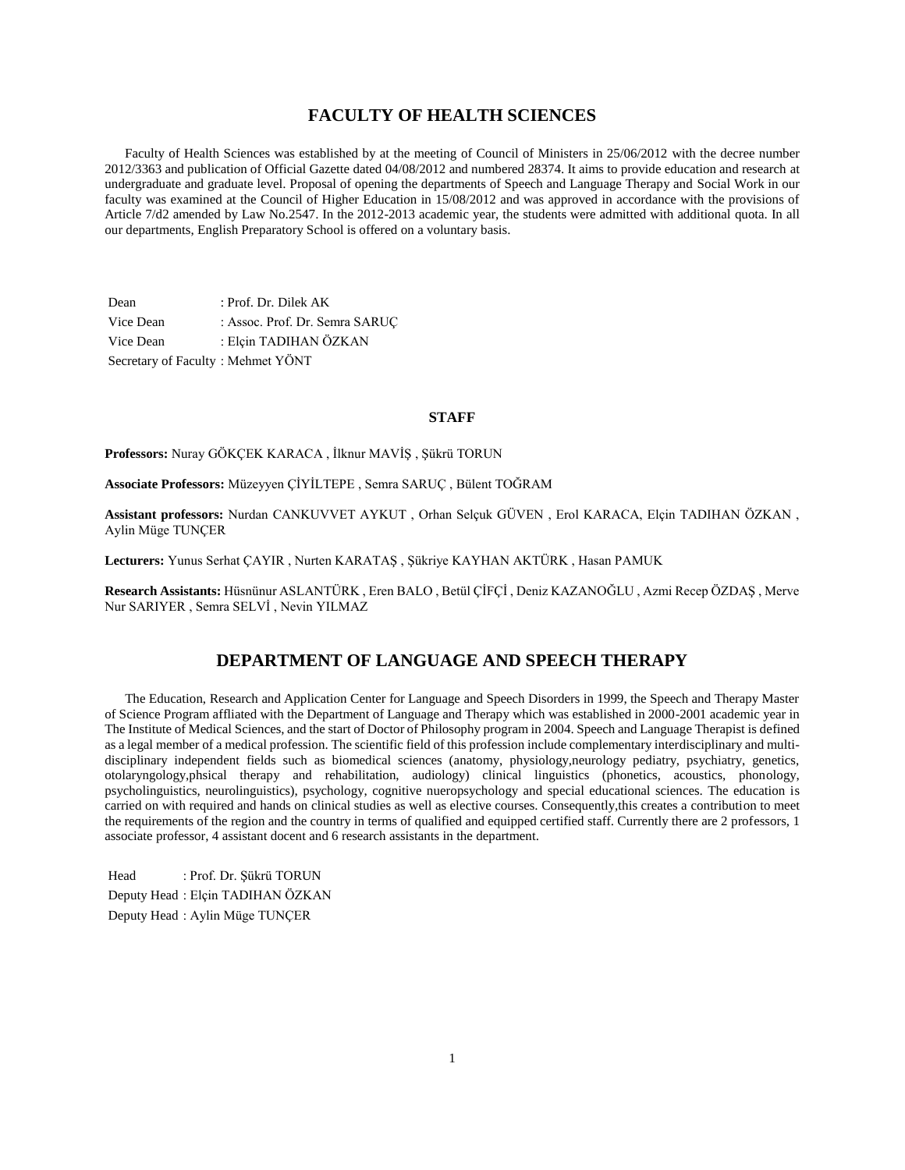## **FACULTY OF HEALTH SCIENCES**

 Faculty of Health Sciences was established by at the meeting of Council of Ministers in 25/06/2012 with the decree number 2012/3363 and publication of Official Gazette dated 04/08/2012 and numbered 28374. It aims to provide education and research at undergraduate and graduate level. Proposal of opening the departments of Speech and Language Therapy and Social Work in our faculty was examined at the Council of Higher Education in 15/08/2012 and was approved in accordance with the provisions of Article 7/d2 amended by Law No.2547. In the 2012-2013 academic year, the students were admitted with additional quota. In all our departments, English Preparatory School is offered on a voluntary basis.

Dean : Prof. Dr. Dilek AK Vice Dean : Assoc. Prof. Dr. Semra SARUÇ Vice Dean : Elçin TADIHAN ÖZKAN Secretary of Faculty : Mehmet YÖNT

#### **STAFF**

**Professors:** Nuray GÖKÇEK KARACA , İlknur MAVİŞ , Şükrü TORUN

**Associate Professors:** Müzeyyen ÇİYİLTEPE , Semra SARUÇ , Bülent TOĞRAM

**Assistant professors:** Nurdan CANKUVVET AYKUT , Orhan Selçuk GÜVEN , Erol KARACA, Elçin TADIHAN ÖZKAN , Aylin Müge TUNÇER

**Lecturers:** Yunus Serhat ÇAYIR , Nurten KARATAŞ , Şükriye KAYHAN AKTÜRK , Hasan PAMUK

**Research Assistants:** Hüsnünur ASLANTÜRK , Eren BALO , Betül ÇİFÇİ , Deniz KAZANOĞLU , Azmi Recep ÖZDAŞ , Merve Nur SARIYER , Semra SELVİ , Nevin YILMAZ

## **DEPARTMENT OF LANGUAGE AND SPEECH THERAPY**

 The Education, Research and Application Center for Language and Speech Disorders in 1999, the Speech and Therapy Master of Science Program affliated with the Department of Language and Therapy which was established in 2000-2001 academic year in The Institute of Medical Sciences, and the start of Doctor of Philosophy program in 2004. Speech and Language Therapist is defined as a legal member of a medical profession. The scientific field of this profession include complementary interdisciplinary and multidisciplinary independent fields such as biomedical sciences (anatomy, physiology,neurology pediatry, psychiatry, genetics, otolaryngology,phsical therapy and rehabilitation, audiology) clinical linguistics (phonetics, acoustics, phonology, psycholinguistics, neurolinguistics), psychology, cognitive nueropsychology and special educational sciences. The education is carried on with required and hands on clinical studies as well as elective courses. Consequently,this creates a contribution to meet the requirements of the region and the country in terms of qualified and equipped certified staff. Currently there are 2 professors, 1 associate professor, 4 assistant docent and 6 research assistants in the department.

Head : Prof. Dr. Şükrü TORUN Deputy Head : Elçin TADIHAN ÖZKAN Deputy Head : Aylin Müge TUNÇER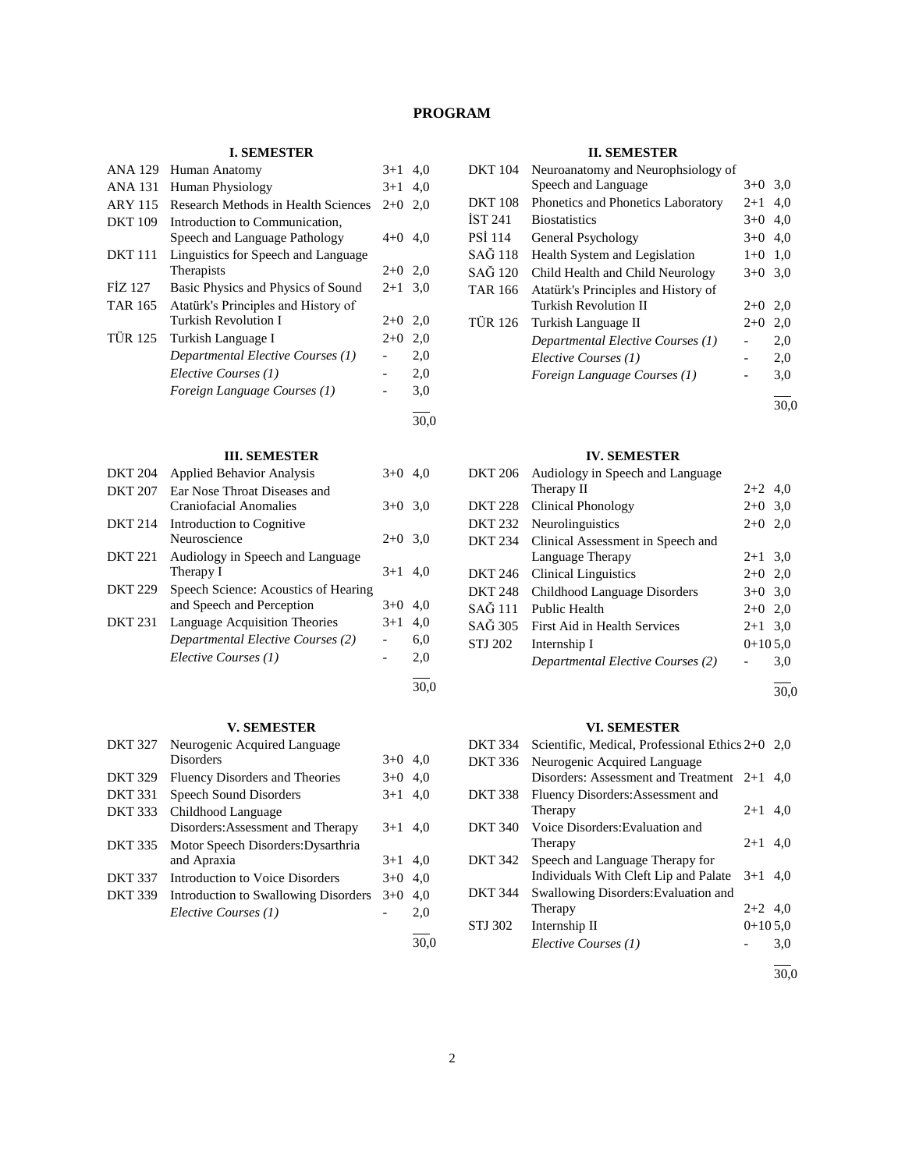## **PROGRAM**

## **I. SEMESTER**

| <b>ANA 129</b> | Human Anatomy                              | $3+1$   | 4,0  |
|----------------|--------------------------------------------|---------|------|
| <b>ANA 131</b> | <b>Human Physiology</b>                    | $3+1$   | 4,0  |
| <b>ARY 115</b> | <b>Research Methods in Health Sciences</b> | $2+0$   | 2,0  |
| <b>DKT</b> 109 | Introduction to Communication,             |         |      |
|                | Speech and Language Pathology              | 4+0     | 4.0  |
| <b>DKT</b> 111 | Linguistics for Speech and Language        |         |      |
|                | Therapists                                 | $2+0$   | 2,0  |
| FİZ 127        | Basic Physics and Physics of Sound         | $2 + 1$ | 3,0  |
| TAR 165        | Atatürk's Principles and History of        |         |      |
|                | Turkish Revolution I                       | $2+0$   | 2,0  |
| <b>TÜR 125</b> | Turkish Language I                         |         | 2,0  |
|                | Departmental Elective Courses (1)          |         | 2,0  |
|                | Elective Courses (1)                       |         | 2,0  |
|                | Foreign Language Courses (1)               |         | 3,0  |
|                |                                            |         | 30.0 |

## **III. SEMESTER**

| <b>DKT 204</b> | <b>Applied Behavior Analysis</b>     | $3+0$     | 4.0 |
|----------------|--------------------------------------|-----------|-----|
| <b>DKT 207</b> | Ear Nose Throat Diseases and         |           |     |
|                | Craniofacial Anomalies               | $3+0$ 3.0 |     |
| <b>DKT 214</b> | Introduction to Cognitive            |           |     |
|                | Neuroscience                         | $2+0$ 3.0 |     |
| <b>DKT 221</b> | Audiology in Speech and Language     |           |     |
|                | Therapy I                            | $3+1$     | 4.0 |
| <b>DKT 229</b> | Speech Science: Acoustics of Hearing |           |     |
|                | and Speech and Perception            | $3+0$     | 4.0 |
| <b>DKT 231</b> | Language Acquisition Theories        | $3+1$     | 4,0 |
|                | Departmental Elective Courses (2)    |           | 6,0 |
|                | Elective Courses (1)                 |           | 2,0 |
|                |                                      |           |     |

#### **V. SEMESTER**

| <b>DKT 327</b> | Neurogenic Acquired Language         |       |     |
|----------------|--------------------------------------|-------|-----|
|                | <b>Disorders</b>                     | $3+0$ | 4.0 |
| <b>DKT 329</b> | Fluency Disorders and Theories       | $3+0$ | 4.0 |
| <b>DKT 331</b> | Speech Sound Disorders               | $3+1$ | 4,0 |
| <b>DKT 333</b> | Childhood Language                   |       |     |
|                | Disorders: Assessment and Therapy    | $3+1$ | 4.0 |
| <b>DKT 335</b> | Motor Speech Disorders: Dysarthria   |       |     |
|                | and Apraxia                          | $3+1$ | 4,0 |
| <b>DKT 337</b> | Introduction to Voice Disorders      | $3+0$ | 4.0 |
| <b>DKT 339</b> | Introduction to Swallowing Disorders | $3+0$ | 4,0 |
|                | Elective Courses (1)                 |       | 2.0 |
|                |                                      |       |     |

## **II. SEMESTER**

| <b>DKT 104</b> | Neuroanatomy and Neurophsiology of  |           |      |  |  |
|----------------|-------------------------------------|-----------|------|--|--|
|                | Speech and Language                 | $3+0$     | 3,0  |  |  |
| <b>DKT 108</b> | Phonetics and Phonetics Laboratory  | $2 + 1$   | 4.0  |  |  |
| <b>IST 241</b> | <b>Biostatistics</b>                | $3+0$     | 4.0  |  |  |
| <b>PSI 114</b> | General Psychology                  | $3+0$     | 4.0  |  |  |
| SAĞ 118        | Health System and Legislation       | $1+0$ 1,0 |      |  |  |
| SAĞ 120        | Child Health and Child Neurology    | $3+0$     | 3,0  |  |  |
| <b>TAR 166</b> | Atatürk's Principles and History of |           |      |  |  |
|                | Turkish Revolution II               | $2+0$     | 2,0  |  |  |
| <b>TÜR 126</b> | Turkish Language II                 | $2+0$     | 2,0  |  |  |
|                | Departmental Elective Courses (1)   |           | 2,0  |  |  |
|                | Elective Courses (1)                |           | 2,0  |  |  |
|                | Foreign Language Courses (1)        |           | 3,0  |  |  |
|                |                                     |           | 30.0 |  |  |

#### **IV. SEMESTER**

|                | DKT 206 Audiology in Speech and Language |           |     |
|----------------|------------------------------------------|-----------|-----|
|                | Therapy II                               | $2+2$ 4.0 |     |
|                | DKT 228 Clinical Phonology               | $2+0$ 3.0 |     |
| <b>DKT 232</b> | Neurolinguistics                         | $2+0$ 2,0 |     |
| DKT 234        | Clinical Assessment in Speech and        |           |     |
|                | Language Therapy                         | $2+1$ 3.0 |     |
| <b>DKT 246</b> | <b>Clinical Linguistics</b>              | $2+0$ 2,0 |     |
| <b>DKT 248</b> | Childhood Language Disorders             | $3+0$ 3.0 |     |
| SAĞ 111        | Public Health                            | $2+0$ 2,0 |     |
| SAĞ 305        | First Aid in Health Services             | $2+1$ 3.0 |     |
| <b>STJ 202</b> | Internship I                             | $0+105.0$ |     |
|                | Departmental Elective Courses (2)        |           | 3,0 |
|                |                                          |           |     |

l 30,0

## **VI. SEMESTER**

|                | , 1. DERIED I EIN                                  |           |     |
|----------------|----------------------------------------------------|-----------|-----|
| <b>DKT 334</b> | Scientific, Medical, Professional Ethics $2+0$ 2,0 |           |     |
| DKT 336        | Neurogenic Acquired Language                       |           |     |
|                | Disorders: Assessment and Treatment 2+1            |           | 4.0 |
| <b>DKT 338</b> | Fluency Disorders: Assessment and                  |           |     |
|                | Therapy                                            | $2 + 1$   | 4,0 |
| <b>DKT 340</b> | Voice Disorders: Evaluation and                    |           |     |
|                | Therapy                                            | $2+1$     | 4.0 |
| DKT 342        | Speech and Language Therapy for                    |           |     |
|                | Individuals With Cleft Lip and Palate              | $3+1$     | 4.0 |
| <b>DKT 344</b> | Swallowing Disorders: Evaluation and               |           |     |
|                | Therapy                                            | $2+2$ 4,0 |     |
| STJ 302        | Internship II                                      | $0+105.0$ |     |
|                | Elective Courses (1)                               |           | 3,0 |
|                |                                                    |           |     |

30,0

30,0

30,0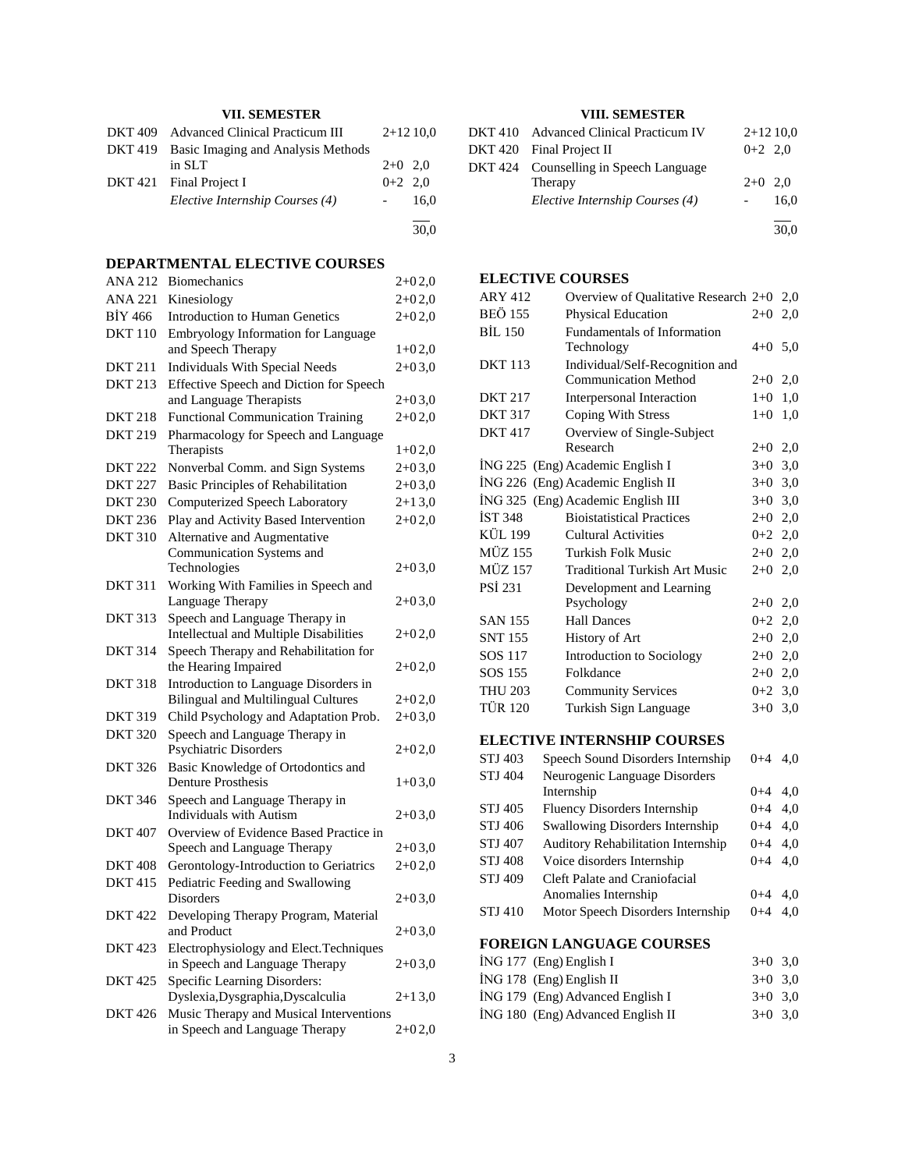## **VII. SEMESTER**

| DKT 409 Advanced Clinical Practicum III    |           | $2+1210,0$ |
|--------------------------------------------|-----------|------------|
| DKT 419 Basic Imaging and Analysis Methods |           |            |
| in SLT                                     | $2+0$ 2,0 |            |
| DKT 421 Final Project I                    | $0+2$ 2.0 |            |
| Elective Internship Courses (4)            | $\sim$    | 16.0       |
|                                            |           | 30.0       |

## **DEPARTMENTAL ELECTIVE COURSES**

| <b>ANA 212</b> | <b>Biomechanics</b>                                                       | 2+02,0     |
|----------------|---------------------------------------------------------------------------|------------|
| <b>ANA 221</b> | Kinesiology                                                               | $2 + 02.0$ |
| <b>BİY 466</b> | <b>Introduction to Human Genetics</b>                                     | $2 + 02,0$ |
| <b>DKT</b> 110 | Embryology Information for Language                                       |            |
|                | and Speech Therapy                                                        | $1+02,0$   |
| <b>DKT 211</b> | <b>Individuals With Special Needs</b>                                     | $2 + 03,0$ |
| <b>DKT 213</b> | Effective Speech and Diction for Speech                                   |            |
|                | and Language Therapists                                                   | $2 + 03,0$ |
| DKT 218        | <b>Functional Communication Training</b>                                  | $2 + 02,0$ |
| <b>DKT 219</b> | Pharmacology for Speech and Language                                      |            |
|                | Therapists                                                                | $1 + 02.0$ |
| <b>DKT 222</b> | Nonverbal Comm. and Sign Systems                                          | $2 + 03,0$ |
| <b>DKT 227</b> | <b>Basic Principles of Rehabilitation</b>                                 | $2 + 03,0$ |
| <b>DKT 230</b> | Computerized Speech Laboratory                                            | $2+13,0$   |
| <b>DKT 236</b> | Play and Activity Based Intervention                                      | $2 + 02,0$ |
| <b>DKT 310</b> | Alternative and Augmentative                                              |            |
|                | Communication Systems and                                                 |            |
|                | Technologies                                                              | $2 + 03,0$ |
| <b>DKT 311</b> | Working With Families in Speech and                                       |            |
| <b>DKT 313</b> | Language Therapy<br>Speech and Language Therapy in                        | $2 + 03,0$ |
|                | <b>Intellectual and Multiple Disabilities</b>                             | 2+02,0     |
| <b>DKT 314</b> | Speech Therapy and Rehabilitation for                                     |            |
|                | the Hearing Impaired                                                      | $2 + 02,0$ |
| <b>DKT 318</b> | Introduction to Language Disorders in                                     |            |
|                | <b>Bilingual and Multilingual Cultures</b>                                | 2+02,0     |
| <b>DKT 319</b> | Child Psychology and Adaptation Prob.                                     | $2+03,0$   |
| <b>DKT 320</b> | Speech and Language Therapy in                                            |            |
|                | <b>Psychiatric Disorders</b>                                              | 2+02,0     |
| <b>DKT 326</b> | Basic Knowledge of Ortodontics and                                        |            |
|                | <b>Denture Prosthesis</b>                                                 | $1 + 03.0$ |
| <b>DKT 346</b> | Speech and Language Therapy in                                            |            |
|                | <b>Individuals with Autism</b>                                            | $2+03,0$   |
| <b>DKT 407</b> | Overview of Evidence Based Practice in                                    |            |
|                | Speech and Language Therapy                                               | $2 + 03,0$ |
| <b>DKT 408</b> | Gerontology-Introduction to Geriatrics                                    | $2 + 02,0$ |
| <b>DKT 415</b> | Pediatric Feeding and Swallowing                                          |            |
|                | Disorders                                                                 | $2 + 03,0$ |
| DKT 422        | Developing Therapy Program, Material<br>and Product                       |            |
|                |                                                                           | $2+03,0$   |
| <b>DKT 423</b> | Electrophysiology and Elect. Techniques<br>in Speech and Language Therapy |            |
| <b>DKT 425</b> | Specific Learning Disorders:                                              | $2 + 03,0$ |
|                | Dyslexia, Dysgraphia, Dyscalculia                                         | $2+13,0$   |
| <b>DKT 426</b> | Music Therapy and Musical Interventions                                   |            |
|                | in Speech and Language Therapy                                            | $2 + 02,0$ |
|                |                                                                           |            |

## **VIII. SEMESTER**

| DKT 410 Advanced Clinical Practicum IV |           | $2+1210,0$ |
|----------------------------------------|-----------|------------|
| DKT 420 Final Project II               | $0+2$ 2,0 |            |
| DKT 424 Counselling in Speech Language |           |            |
| Therapy                                | $2+0$ 2,0 |            |
| Elective Internship Courses (4)        |           | 16.0       |
|                                        |           | 30.0       |

## **ELECTIVE COURSES**

| <b>ARY 412</b> | Overview of Qualitative Research 2+0   |           | 2,0 |
|----------------|----------------------------------------|-----------|-----|
| <b>BEÖ 155</b> | Physical Education                     | $2+0$     | 2,0 |
| <b>BİL 150</b> | Fundamentals of Information            |           |     |
|                | Technology                             | $4 + 0$   | 5,0 |
| <b>DKT</b> 113 | Individual/Self-Recognition and        |           |     |
|                | <b>Communication Method</b>            | $2+0$     | 2,0 |
| <b>DKT 217</b> | Interpersonal Interaction              | $1+0$     | 1,0 |
| <b>DKT 317</b> | Coping With Stress                     | $1+0$     | 1,0 |
| <b>DKT 417</b> | Overview of Single-Subject             |           |     |
|                | Research                               | $2+0$     | 2,0 |
|                | ING 225 (Eng) Academic English I       | $3+0$     | 3,0 |
| ING 226        | (Eng) Academic English II              | $3+0$     | 3,0 |
|                | İNG 325 (Eng) Academic English III     | $3+0$ 3,0 |     |
| <b>İST 348</b> | <b>Bioistatistical Practices</b>       | $2+0$ 2,0 |     |
| <b>KÜL 199</b> | <b>Cultural Activities</b>             | $0+2$ 2,0 |     |
| <b>MÜZ 155</b> | Turkish Folk Music                     | $2+0$     | 2,0 |
| <b>MÜZ 157</b> | <b>Traditional Turkish Art Music</b>   | $2 + 0$   | 2,0 |
| <b>PSI 231</b> | Development and Learning               |           |     |
|                | Psychology                             | $2+0$     | 2,0 |
| <b>SAN 155</b> | <b>Hall Dances</b>                     | $0 + 2$   | 2,0 |
| <b>SNT 155</b> | History of Art                         | $2+0$ 2,0 |     |
| SOS 117        | Introduction to Sociology              | $2+0$     | 2,0 |
| SOS 155        | Folkdance                              | $2+0$     | 2,0 |
| <b>THU 203</b> | <b>Community Services</b>              | $0 + 2$   | 3,0 |
| <b>TÜR 120</b> | Turkish Sign Language                  | $3+0$     | 3,0 |
|                | <b>ELECTIVE INTERNSHIP COURSES</b>     |           |     |
| <b>STJ 403</b> | Speech Sound Disorders Internship      | $0 + 4$   | 4,0 |
| <b>STJ 404</b> | Neurogenic Language Disorders          |           |     |
|                | Internship                             | $0 + 4$   | 4,0 |
| STJ 405        | <b>Fluency Disorders Internship</b>    | $0 + 4$   | 4,0 |
| STJ 406        | <b>Swallowing Disorders Internship</b> | $0 + 4$   | 4,0 |
| STJ 407        | Auditory Rehabilitation Internship     | $0 + 4$   | 4,0 |
| <b>STJ 408</b> | Voice disorders Internship             | $0 + 4$   | 4,0 |
| <b>STJ 409</b> | <b>Cleft Palate and Craniofacial</b>   |           |     |

# **FOREIGN LANGUAGE COURSES**

| İNG 177 (Eng) English I           | $3+0$ 3.0 |  |
|-----------------------------------|-----------|--|
| $ING 178$ (Eng) English II        | $3+0$ 3.0 |  |
| ING 179 (Eng) Advanced English I  | $3+0$ 3.0 |  |
| ING 180 (Eng) Advanced English II | $3+0$ 3.0 |  |
|                                   |           |  |

STJ 410 Motor Speech Disorders Internship 0+4 4,0

Anomalies Internship 0+4 4,0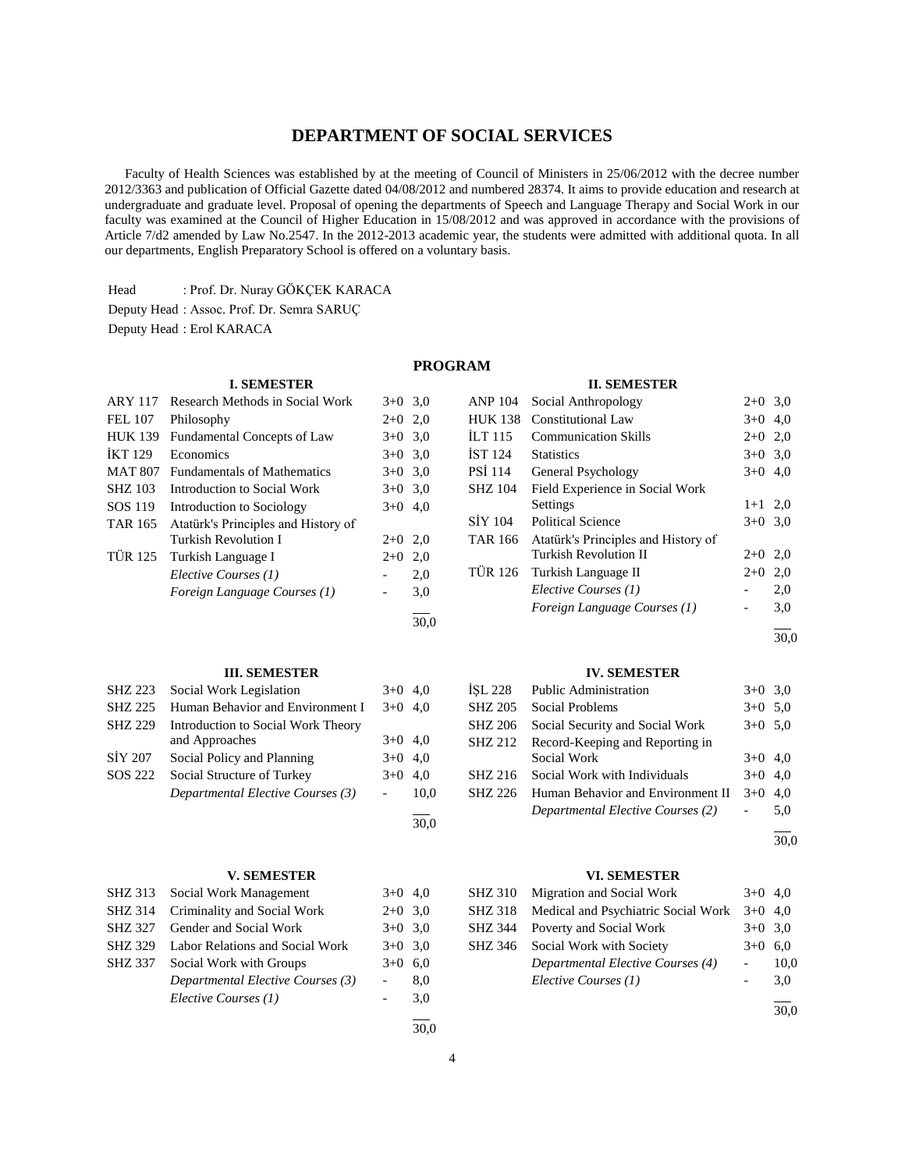## **DEPARTMENT OF SOCIAL SERVICES**

 Faculty of Health Sciences was established by at the meeting of Council of Ministers in 25/06/2012 with the decree number 2012/3363 and publication of Official Gazette dated 04/08/2012 and numbered 28374. It aims to provide education and research at undergraduate and graduate level. Proposal of opening the departments of Speech and Language Therapy and Social Work in our faculty was examined at the Council of Higher Education in 15/08/2012 and was approved in accordance with the provisions of Article 7/d2 amended by Law No.2547. In the 2012-2013 academic year, the students were admitted with additional quota. In all our departments, English Preparatory School is offered on a voluntary basis.

Head : Prof. Dr. Nuray GÖKÇEK KARACA

**I. SEMESTER**

|  |  |  | Deputy Head: Assoc. Prof. Dr. Semra SARUC |  |
|--|--|--|-------------------------------------------|--|
|  |  |  |                                           |  |

Deputy Head : Erol KARACA

## **PROGRAM**

#### **II. SEMESTER**

| ARY 117        | Research Methods in Social Work     |                          | $3+0$ 3.0 | <b>ANP 104</b> | Social Anthropology                 | $2+0$ 3,0                |     |
|----------------|-------------------------------------|--------------------------|-----------|----------------|-------------------------------------|--------------------------|-----|
| <b>FEL 107</b> | Philosophy                          |                          | $2+0$ 2,0 |                | HUK 138 Constitutional Law          | $3+0$ 4,0                |     |
| <b>HUK 139</b> | Fundamental Concepts of Law         | $3+0$ 3.0                |           | ILT115         | <b>Communication Skills</b>         | $2+0$ 2,0                |     |
| <b>İKT</b> 129 | Economics                           | $3+0$ 3.0                |           | <b>IST 124</b> | <b>Statistics</b>                   | $3+0$ 3,0                |     |
| <b>MAT 807</b> | <b>Fundamentals of Mathematics</b>  |                          | $3+0$ 3.0 | <b>PSI</b> 114 | General Psychology                  | $3+0$ 4,0                |     |
| <b>SHZ 103</b> | Introduction to Social Work         |                          | $3+0$ 3.0 | <b>SHZ 104</b> | Field Experience in Social Work     |                          |     |
| SOS 119        | Introduction to Sociology           |                          | $3+0$ 4,0 |                | Settings                            | $1+1$ 2,0                |     |
| <b>TAR 165</b> | Atatürk's Principles and History of |                          |           | SIY 104        | <b>Political Science</b>            | $3+0$ 3,0                |     |
|                | Turkish Revolution I                | $2+0$ 2,0                |           | <b>TAR 166</b> | Atatürk's Principles and History of |                          |     |
| <b>TÜR 125</b> | Turkish Language I                  | $2+0$ 2,0                |           |                | <b>Turkish Revolution II</b>        | $2+0$ 2,0                |     |
|                | Elective Courses (1)                |                          | 2,0       | <b>TÜR 126</b> | Turkish Language II                 | $2+0$ 2,0                |     |
|                | Foreign Language Courses (1)        | $\overline{\phantom{a}}$ | 3,0       |                | Elective Courses (1)                |                          | 2,0 |
|                |                                     |                          |           |                | Foreign Language Courses (1)        | $\overline{\phantom{0}}$ | 3,0 |
|                |                                     |                          | 30,0      |                |                                     |                          |     |
|                |                                     |                          |           |                |                                     |                          | 30, |
|                | <b>III. SEMESTER</b>                |                          |           |                | <b>IV. SEMESTER</b>                 |                          |     |
| <b>SHZ 223</b> | Social Work Legislation             |                          | $3+0$ 4,0 | ISL 228        | <b>Public Administration</b>        | $3+0$ 3,0                |     |
| <b>SHZ 225</b> | Human Behavior and Environment I    |                          | $3+0$ 4,0 | <b>SHZ 205</b> | <b>Social Problems</b>              | $3+0$ 5,0                |     |
| <b>SHZ 229</b> | Introduction to Social Work Theory  |                          |           | <b>SHZ 206</b> | Social Security and Social Work     | $3+0$ 5,0                |     |
|                | and Approaches                      |                          | $3+0$ 4,0 | <b>SHZ 212</b> | Record-Keeping and Reporting in     |                          |     |
| <b>SIY 207</b> | Social Policy and Planning          |                          | $3+0$ 4,0 |                | Social Work                         | $3+0$ 4,0                |     |
| SOS 222        | Social Structure of Turkey          | $3+0$ 4,0                |           | SHZ 216        | Social Work with Individuals        | $3+0$ 4,0                |     |
|                | Departmental Elective Courses (3)   | $ \,$                    | 10,0      | SHZ 226        | Human Behavior and Environment II   | $3+0$ 4,0                |     |
|                |                                     |                          |           |                | Departmental Elective Courses (2)   | $\blacksquare$           | 5,0 |
|                |                                     |                          | 30,0      |                |                                     |                          |     |
|                |                                     |                          |           |                |                                     |                          | 30, |
|                |                                     |                          |           |                |                                     |                          |     |

## **V. SEMESTER**

|                | SHZ 313 Social Work Management    | $3+0$ 4,0 |     |
|----------------|-----------------------------------|-----------|-----|
| SHZ 314        | Criminality and Social Work       | $2+0$ 3.0 |     |
| SHZ 327        | Gender and Social Work            | $3+0$ 3.0 |     |
| <b>SHZ 329</b> | Labor Relations and Social Work   | $3+0$ 3.0 |     |
| SHZ 337        | Social Work with Groups           | $3+0$     | 6,0 |
|                | Departmental Elective Courses (3) |           | 8,0 |
|                | Elective Courses (1)              |           | 3,0 |
|                |                                   |           |     |

#### **TER**

| İSL 228 | <b>Public Administration</b>            | $3+0$ 3.0 |     |
|---------|-----------------------------------------|-----------|-----|
|         | SHZ 205 Social Problems                 | $3+0$ 5.0 |     |
| SHZ 206 | Social Security and Social Work         | $3+0$ 5,0 |     |
|         | SHZ 212 Record-Keeping and Reporting in |           |     |
|         | Social Work                             | $3+0$ 4,0 |     |
|         | SHZ 216 Social Work with Individuals    | $3+0$ 4,0 |     |
| SHZ 226 | Human Behavior and Environment II       | $3+0$ 4.0 |     |
|         | Departmental Elective Courses (2)       |           | 5.0 |

l 30,0

> l  $\frac{1}{30.0}$

#### **VI. SEMESTER**

| SHZ 310 Migration and Social Work           | $3+0$ 4.0 |      |
|---------------------------------------------|-----------|------|
| SHZ 318 Medical and Psychiatric Social Work | $3+0$ 4,0 |      |
| SHZ 344 Poverty and Social Work             | $3+0$ 3.0 |      |
| SHZ 346 Social Work with Society            | $3+0$ 6.0 |      |
| Departmental Elective Courses (4)           |           | 10,0 |
| Elective Courses (1)                        |           | 3,0  |
|                                             |           |      |

30,0

30,0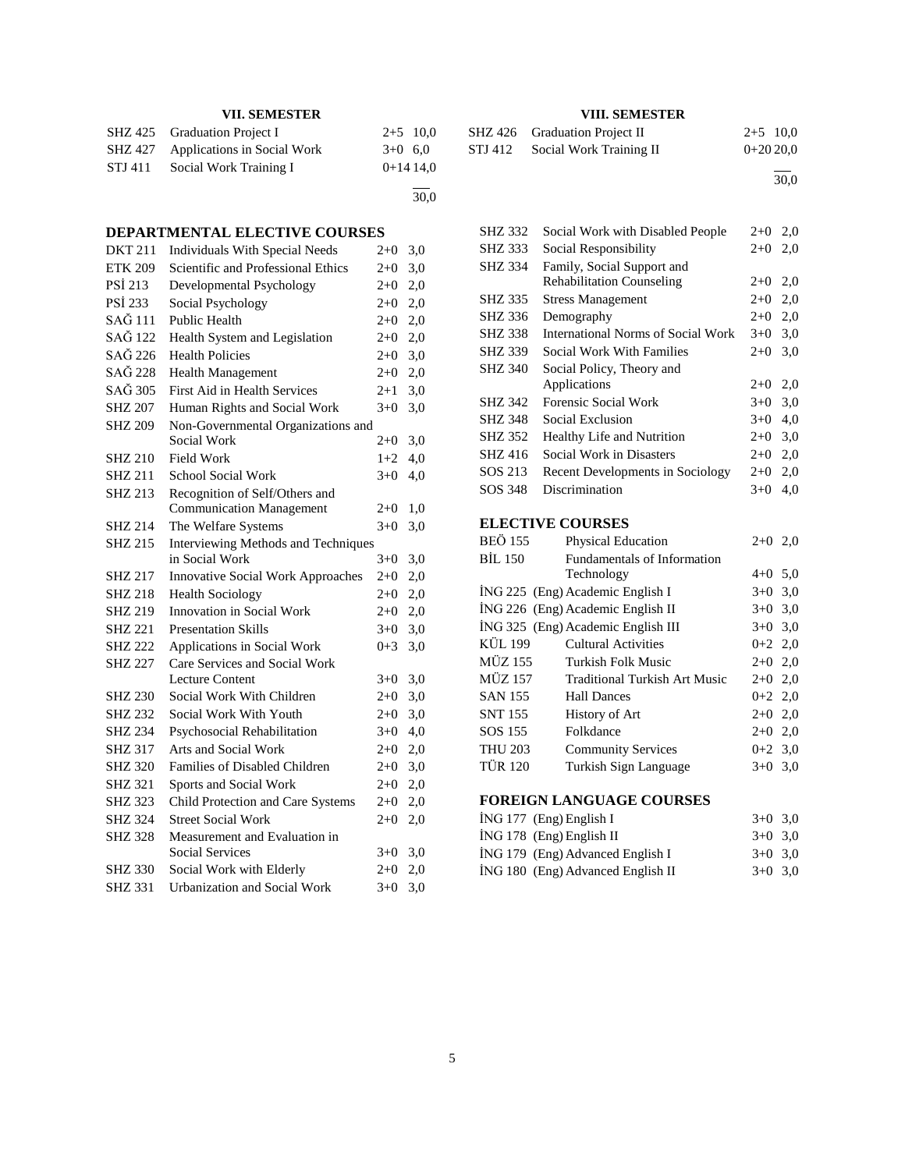## **VII. SEMESTER**

|         | SHZ 425 Graduation Project I        | $2+5$ 10.0 |
|---------|-------------------------------------|------------|
|         | SHZ 427 Applications in Social Work | $3+0$ 6.0  |
| STJ 411 | Social Work Training I              | $0+1414.0$ |
|         |                                     |            |

30,0

## **DEPARTMENTAL ELECTIVE COURSES**

| <b>DKT 211</b> | <b>Individuals With Special Needs</b>    | $2 + 0$ | 3,0 |
|----------------|------------------------------------------|---------|-----|
| <b>ETK 209</b> | Scientific and Professional Ethics       | $2 + 0$ | 3,0 |
| PSİ 213        | Developmental Psychology                 | $2 + 0$ | 2,0 |
| PSİ 233        | Social Psychology                        | $2 + 0$ | 2,0 |
| SAĞ 111        | <b>Public Health</b>                     | $2 + 0$ | 2,0 |
| SAĞ 122        | Health System and Legislation            | $2 + 0$ | 2,0 |
| SAĞ 226        | <b>Health Policies</b>                   | $2 + 0$ | 3,0 |
| SAĞ 228        | <b>Health Management</b>                 | $2 + 0$ | 2,0 |
| SAĞ 305        | First Aid in Health Services             | $2 + 1$ | 3,0 |
| <b>SHZ 207</b> | Human Rights and Social Work             | $3 + 0$ | 3,0 |
| <b>SHZ 209</b> | Non-Governmental Organizations and       |         |     |
|                | Social Work                              | $2+0$   | 3,0 |
| <b>SHZ 210</b> | Field Work                               | $1+2$   | 4,0 |
| <b>SHZ 211</b> | <b>School Social Work</b>                | $3+0$   | 4,0 |
| <b>SHZ 213</b> | Recognition of Self/Others and           |         |     |
|                | <b>Communication Management</b>          | $2+0$   | 1,0 |
| <b>SHZ 214</b> | The Welfare Systems                      | $3+0$   | 3,0 |
| <b>SHZ 215</b> | Interviewing Methods and Techniques      |         |     |
|                | in Social Work                           | $3+0$   | 3,0 |
| <b>SHZ 217</b> | <b>Innovative Social Work Approaches</b> | $2 + 0$ | 2,0 |
| <b>SHZ 218</b> | <b>Health Sociology</b>                  | $2 + 0$ | 2,0 |
| <b>SHZ 219</b> | Innovation in Social Work                | $2 + 0$ | 2,0 |
| <b>SHZ 221</b> | <b>Presentation Skills</b>               | $3+0$   | 3,0 |
| <b>SHZ 222</b> | Applications in Social Work              | $0 + 3$ | 3,0 |
| <b>SHZ 227</b> | Care Services and Social Work            |         |     |
|                | <b>Lecture Content</b>                   | $3+0$   | 3,0 |
| <b>SHZ 230</b> | Social Work With Children                | $2+0$   | 3,0 |
| <b>SHZ 232</b> | Social Work With Youth                   | $2 + 0$ | 3,0 |
| <b>SHZ 234</b> | Psychosocial Rehabilitation              | $3+0$   | 4,0 |
| <b>SHZ 317</b> | Arts and Social Work                     | $2+0$   | 2,0 |
| <b>SHZ 320</b> | Families of Disabled Children            | $2 + 0$ | 3,0 |
| <b>SHZ 321</b> | Sports and Social Work                   | $2 + 0$ | 2,0 |
| <b>SHZ 323</b> | Child Protection and Care Systems        | $2+0$   | 2,0 |
| <b>SHZ 324</b> | <b>Street Social Work</b>                | $2 + 0$ | 2,0 |
| <b>SHZ 328</b> | Measurement and Evaluation in            |         |     |
|                | <b>Social Services</b>                   | $3+0$   | 3,0 |
| SHZ 330        | Social Work with Elderly                 | $2 + 0$ | 2,0 |
| <b>SHZ 331</b> | <b>Urbanization and Social Work</b>      | $3 + 0$ | 3,0 |

## **VIII. SEMESTER**

| SHZ 426 Graduation Project II   | $2+5$ 10,0 |
|---------------------------------|------------|
| STJ 412 Social Work Training II | $0+2020.0$ |
|                                 |            |

30,0

| <b>SHZ 332</b> | Social Work with Disabled People          | $2+0$ | 2,0 |
|----------------|-------------------------------------------|-------|-----|
| <b>SHZ 333</b> | Social Responsibility                     | $2+0$ | 2,0 |
| <b>SHZ 334</b> | Family, Social Support and                |       |     |
|                | <b>Rehabilitation Counseling</b>          | $2+0$ | 2,0 |
| SHZ 335        | <b>Stress Management</b>                  | $2+0$ | 2,0 |
| SHZ 336        | Demography                                | $2+0$ | 2,0 |
| SHZ 338        | <b>International Norms of Social Work</b> | $3+0$ | 3,0 |
| <b>SHZ 339</b> | Social Work With Families                 | $2+0$ | 3,0 |
| <b>SHZ 340</b> | Social Policy, Theory and                 |       |     |
|                | Applications                              | $2+0$ | 2,0 |
| SHZ 342        | Forensic Social Work                      | $3+0$ | 3,0 |
| SHZ 348        | Social Exclusion                          | $3+0$ | 4,0 |
| SHZ 352        | Healthy Life and Nutrition                | $2+0$ | 3,0 |
| SHZ 416        | Social Work in Disasters                  | $2+0$ | 2,0 |
| SOS 213        | Recent Developments in Sociology          | $2+0$ | 2,0 |
| SOS 348        | Discrimination                            | $3+0$ | 4.0 |
|                |                                           |       |     |

## **ELECTIVE COURSES**

| BEÖ 155        | Physical Education                   | $2+0$     | 2,0 |
|----------------|--------------------------------------|-----------|-----|
| <b>BIL 150</b> | Fundamentals of Information          |           |     |
|                | Technology                           | $4+0$ 5,0 |     |
|                | ING 225 (Eng) Academic English I     | $3+0$ 3.0 |     |
|                | ING 226 (Eng) Academic English II    | $3+0$ 3.0 |     |
|                | ING 325 (Eng) Academic English III   | $3+0$ 3.0 |     |
| KÜL 199        | Cultural Activities                  | $0+2$ 2,0 |     |
| MÜZ 155        | Turkish Folk Music                   | $2+0$ 2.0 |     |
| MÜZ 157        | <b>Traditional Turkish Art Music</b> | $2+0$ 2,0 |     |
| SAN 155        | <b>Hall Dances</b>                   | $0+2$ 2,0 |     |
| SNT 155        | History of Art                       | $2+0$ 2,0 |     |
| SOS 155        | Folkdance                            | $2+0$ 2,0 |     |
| <b>THU 203</b> | <b>Community Services</b>            | $0+2$ 3,0 |     |
| <b>TÜR 120</b> | Turkish Sign Language                | $3+0$ 3.0 |     |
|                |                                      |           |     |

## **FOREIGN LANGUAGE COURSES**

| ING 177 (Eng) English I           | $3+0$ 3.0 |  |
|-----------------------------------|-----------|--|
| ING 178 (Eng) English II          | $3+0$ 3.0 |  |
| ING 179 (Eng) Advanced English I  | $3+0$ 3.0 |  |
| ING 180 (Eng) Advanced English II | $3+0$ 3.0 |  |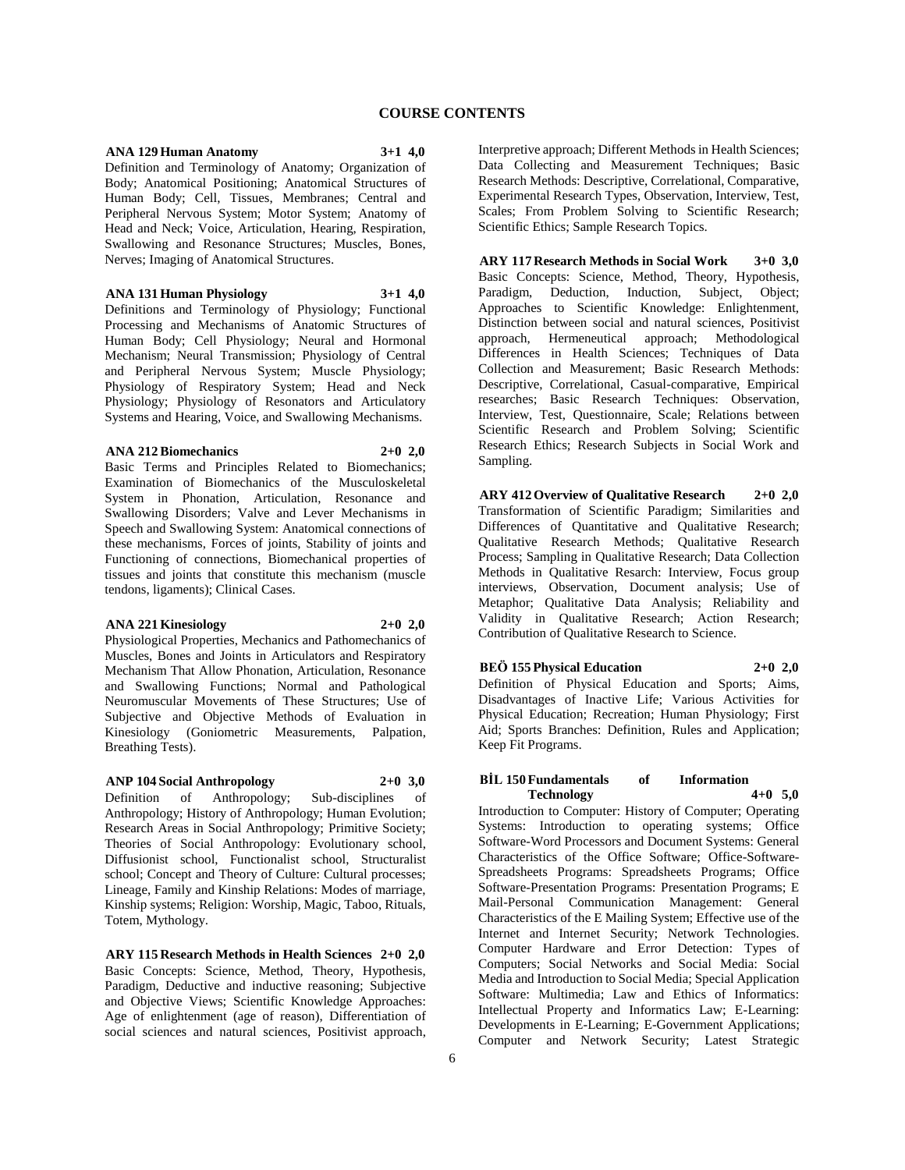#### **ANA 129 Human Anatomy 3+1 4,0**

Definition and Terminology of Anatomy; Organization of Body; Anatomical Positioning; Anatomical Structures of Human Body; Cell, Tissues, Membranes; Central and Peripheral Nervous System; Motor System; Anatomy of Head and Neck; Voice, Articulation, Hearing, Respiration, Swallowing and Resonance Structures; Muscles, Bones, Nerves; Imaging of Anatomical Structures.

#### **ANA 131 Human Physiology 3+1 4,0**

Definitions and Terminology of Physiology; Functional Processing and Mechanisms of Anatomic Structures of Human Body; Cell Physiology; Neural and Hormonal Mechanism; Neural Transmission; Physiology of Central and Peripheral Nervous System; Muscle Physiology; Physiology of Respiratory System; Head and Neck Physiology; Physiology of Resonators and Articulatory Systems and Hearing, Voice, and Swallowing Mechanisms.

#### **ANA 212 Biomechanics 2+0 2,0**

Basic Terms and Principles Related to Biomechanics; Examination of Biomechanics of the Musculoskeletal System in Phonation, Articulation, Resonance and Swallowing Disorders; Valve and Lever Mechanisms in Speech and Swallowing System: Anatomical connections of these mechanisms, Forces of joints, Stability of joints and Functioning of connections, Biomechanical properties of tissues and joints that constitute this mechanism (muscle tendons, ligaments); Clinical Cases.

#### **ANA 221 Kinesiology 2+0 2,0**

Physiological Properties, Mechanics and Pathomechanics of Muscles, Bones and Joints in Articulators and Respiratory Mechanism That Allow Phonation, Articulation, Resonance and Swallowing Functions; Normal and Pathological Neuromuscular Movements of These Structures; Use of Subjective and Objective Methods of Evaluation in Kinesiology (Goniometric Measurements, Palpation, Breathing Tests).

#### **ANP 104 Social Anthropology 2+0 3,0**

Definition of Anthropology; Sub-disciplines of Anthropology; History of Anthropology; Human Evolution; Research Areas in Social Anthropology; Primitive Society; Theories of Social Anthropology: Evolutionary school, Diffusionist school, Functionalist school, Structuralist school; Concept and Theory of Culture: Cultural processes; Lineage, Family and Kinship Relations: Modes of marriage, Kinship systems; Religion: Worship, Magic, Taboo, Rituals, Totem, Mythology.

**ARY 115 Research Methods in Health Sciences 2+0 2,0** Basic Concepts: Science, Method, Theory, Hypothesis, Paradigm, Deductive and inductive reasoning; Subjective and Objective Views; Scientific Knowledge Approaches: Age of enlightenment (age of reason), Differentiation of social sciences and natural sciences, Positivist approach,

Interpretive approach; Different Methods in Health Sciences; Data Collecting and Measurement Techniques; Basic Research Methods: Descriptive, Correlational, Comparative, Experimental Research Types, Observation, Interview, Test, Scales; From Problem Solving to Scientific Research; Scientific Ethics; Sample Research Topics.

**ARY 117 Research Methods in Social Work 3+0 3,0** Basic Concepts: Science, Method, Theory, Hypothesis, Paradigm, Deduction, Induction, Subject, Object; Approaches to Scientific Knowledge: Enlightenment, Distinction between social and natural sciences, Positivist approach, Hermeneutical approach; Methodological Differences in Health Sciences; Techniques of Data Collection and Measurement; Basic Research Methods: Descriptive, Correlational, Casual-comparative, Empirical researches; Basic Research Techniques: Observation, Interview, Test, Questionnaire, Scale; Relations between Scientific Research and Problem Solving; Scientific Research Ethics; Research Subjects in Social Work and Sampling.

**ARY 412 Overview of Qualitative Research 2+0 2,0** Transformation of Scientific Paradigm; Similarities and Differences of Quantitative and Qualitative Research; Qualitative Research Methods; Qualitative Research Process; Sampling in Qualitative Research; Data Collection Methods in Qualitative Resarch: Interview, Focus group interviews, Observation, Document analysis; Use of Metaphor; Qualitative Data Analysis; Reliability and Validity in Qualitative Research; Action Research; Contribution of Qualitative Research to Science.

## **BEÖ 155 Physical Education 2+0 2,0**

Definition of Physical Education and Sports; Aims, Disadvantages of Inactive Life; Various Activities for Physical Education; Recreation; Human Physiology; First Aid; Sports Branches: Definition, Rules and Application; Keep Fit Programs.

#### **BİL 150 Fundamentals of Information Technology 4+0 5,0**

Introduction to Computer: History of Computer; Operating Systems: Introduction to operating systems; Office Software-Word Processors and Document Systems: General Characteristics of the Office Software; Office-Software-Spreadsheets Programs: Spreadsheets Programs; Office Software-Presentation Programs: Presentation Programs; E Mail-Personal Communication Management: General Characteristics of the E Mailing System; Effective use of the Internet and Internet Security; Network Technologies. Computer Hardware and Error Detection: Types of Computers; Social Networks and Social Media: Social Media and Introduction to Social Media; Special Application Software: Multimedia; Law and Ethics of Informatics: Intellectual Property and Informatics Law; E-Learning: Developments in E-Learning; E-Government Applications; Computer and Network Security; Latest Strategic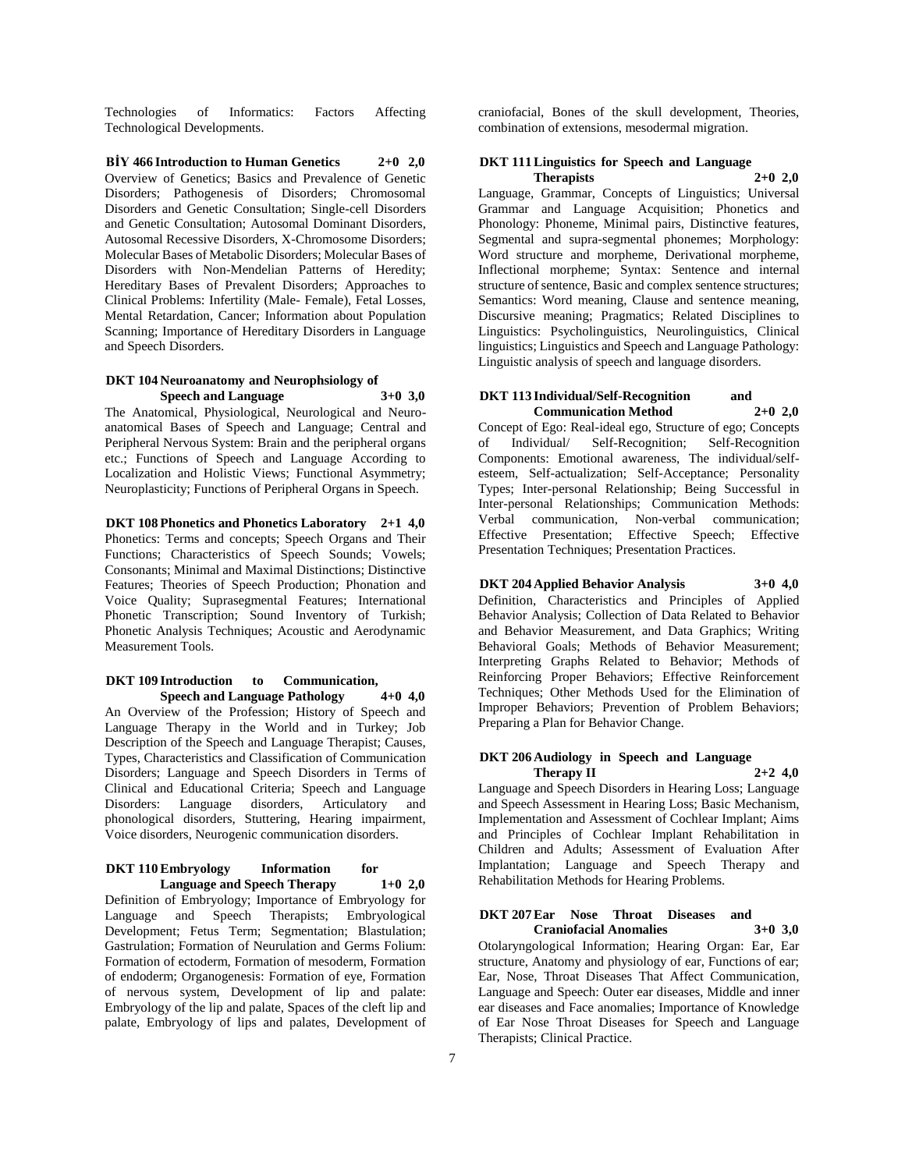Technologies of Informatics: Factors Affecting Technological Developments.

**BİY 466 Introduction to Human Genetics 2+0 2,0** Overview of Genetics; Basics and Prevalence of Genetic Disorders; Pathogenesis of Disorders; Chromosomal Disorders and Genetic Consultation; Single-cell Disorders and Genetic Consultation; Autosomal Dominant Disorders, Autosomal Recessive Disorders, X-Chromosome Disorders; Molecular Bases of Metabolic Disorders; Molecular Bases of Disorders with Non-Mendelian Patterns of Heredity; Hereditary Bases of Prevalent Disorders; Approaches to Clinical Problems: Infertility (Male- Female), Fetal Losses, Mental Retardation, Cancer; Information about Population Scanning; Importance of Hereditary Disorders in Language and Speech Disorders.

#### **DKT 104 Neuroanatomy and Neurophsiology of Speech and Language 3+0 3,0**

The Anatomical, Physiological, Neurological and Neuroanatomical Bases of Speech and Language; Central and Peripheral Nervous System: Brain and the peripheral organs etc.; Functions of Speech and Language According to Localization and Holistic Views; Functional Asymmetry; Neuroplasticity; Functions of Peripheral Organs in Speech.

**DKT 108 Phonetics and Phonetics Laboratory 2+1 4,0** Phonetics: Terms and concepts; Speech Organs and Their Functions; Characteristics of Speech Sounds; Vowels; Consonants; Minimal and Maximal Distinctions; Distinctive Features; Theories of Speech Production; Phonation and Voice Quality; Suprasegmental Features; International Phonetic Transcription; Sound Inventory of Turkish; Phonetic Analysis Techniques; Acoustic and Aerodynamic Measurement Tools.

#### **DKT 109 Introduction to Communication, Speech and Language Pathology 4+0 4,0**

An Overview of the Profession; History of Speech and Language Therapy in the World and in Turkey; Job Description of the Speech and Language Therapist; Causes, Types, Characteristics and Classification of Communication Disorders; Language and Speech Disorders in Terms of Clinical and Educational Criteria; Speech and Language Disorders: Language disorders, Articulatory and phonological disorders, Stuttering, Hearing impairment, Voice disorders, Neurogenic communication disorders.

#### **DKT 110 Embryology Information for Language and Speech Therapy 1+0 2,0**

Definition of Embryology; Importance of Embryology for Language and Speech Therapists; Embryological Development; Fetus Term; Segmentation; Blastulation; Gastrulation; Formation of Neurulation and Germs Folium: Formation of ectoderm, Formation of mesoderm, Formation of endoderm; Organogenesis: Formation of eye, Formation of nervous system, Development of lip and palate: Embryology of the lip and palate, Spaces of the cleft lip and palate, Embryology of lips and palates, Development of

craniofacial, Bones of the skull development, Theories, combination of extensions, mesodermal migration.

#### **DKT 111 Linguistics for Speech and Language Therapists 2+0 2,0**

Language, Grammar, Concepts of Linguistics; Universal Grammar and Language Acquisition; Phonetics and Phonology: Phoneme, Minimal pairs, Distinctive features, Segmental and supra-segmental phonemes; Morphology: Word structure and morpheme, Derivational morpheme, Inflectional morpheme; Syntax: Sentence and internal structure of sentence, Basic and complex sentence structures; Semantics: Word meaning, Clause and sentence meaning, Discursive meaning; Pragmatics; Related Disciplines to Linguistics: Psycholinguistics, Neurolinguistics, Clinical linguistics; Linguistics and Speech and Language Pathology: Linguistic analysis of speech and language disorders.

#### **DKT 113 Individual/Self-Recognition and Communication Method 2+0 2,0**

Concept of Ego: Real-ideal ego, Structure of ego; Concepts of Individual/ Self-Recognition; Self-Recognition Components: Emotional awareness, The individual/selfesteem, Self-actualization; Self-Acceptance; Personality Types; Inter-personal Relationship; Being Successful in Inter-personal Relationships; Communication Methods: Verbal communication, Non-verbal communication; Effective Presentation; Effective Speech; Effective Presentation Techniques; Presentation Practices.

#### **DKT 204 Applied Behavior Analysis 3+0 4,0**

Definition, Characteristics and Principles of Applied Behavior Analysis; Collection of Data Related to Behavior and Behavior Measurement, and Data Graphics; Writing Behavioral Goals; Methods of Behavior Measurement; Interpreting Graphs Related to Behavior; Methods of Reinforcing Proper Behaviors; Effective Reinforcement Techniques; Other Methods Used for the Elimination of Improper Behaviors; Prevention of Problem Behaviors; Preparing a Plan for Behavior Change.

#### **DKT 206 Audiology in Speech and Language Therapy II 2+2 4,0**

Language and Speech Disorders in Hearing Loss; Language and Speech Assessment in Hearing Loss; Basic Mechanism, Implementation and Assessment of Cochlear Implant; Aims and Principles of Cochlear Implant Rehabilitation in Children and Adults; Assessment of Evaluation After Implantation; Language and Speech Therapy and Rehabilitation Methods for Hearing Problems.

#### **DKT 207 Ear Nose Throat Diseases and Craniofacial Anomalies 3+0 3,0**

Otolaryngological Information; Hearing Organ: Ear, Ear structure, Anatomy and physiology of ear, Functions of ear; Ear, Nose, Throat Diseases That Affect Communication, Language and Speech: Outer ear diseases, Middle and inner ear diseases and Face anomalies; Importance of Knowledge of Ear Nose Throat Diseases for Speech and Language Therapists; Clinical Practice.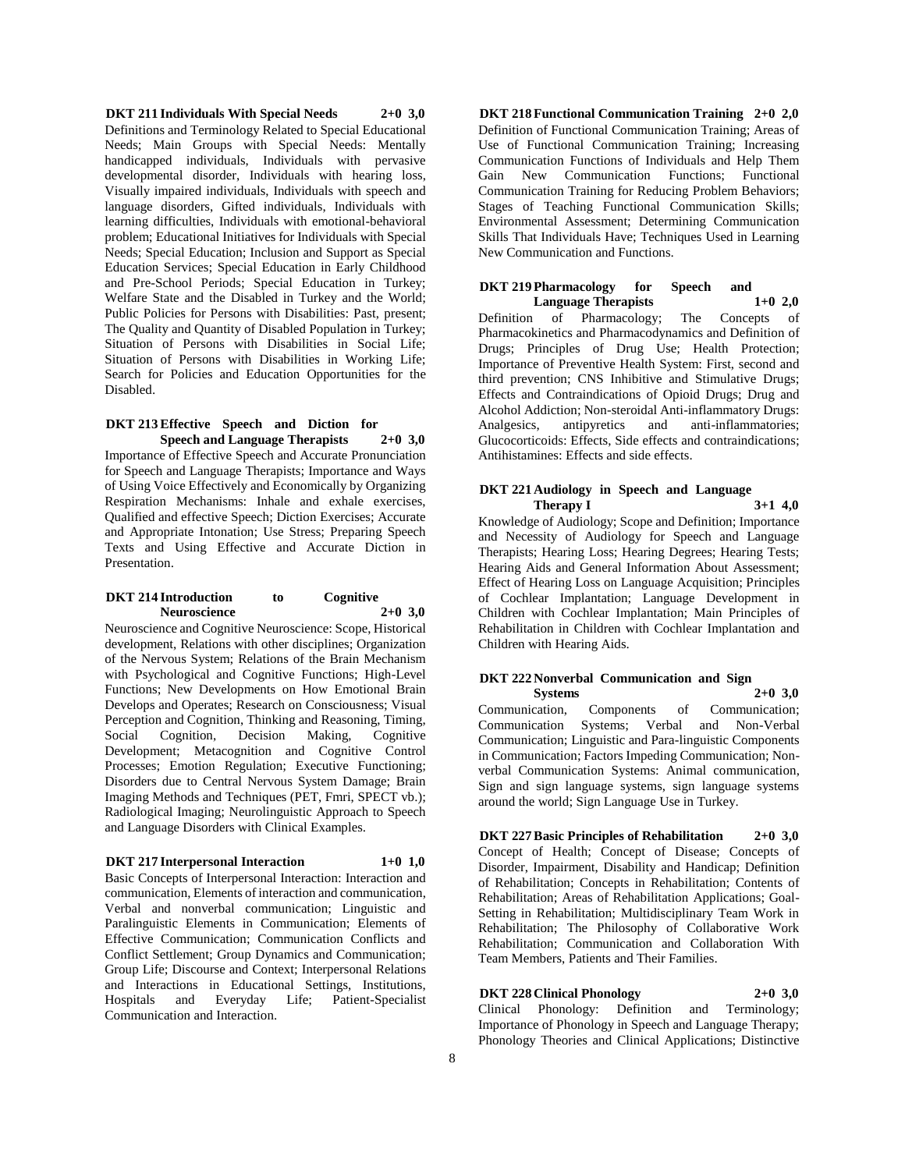**DKT 211 Individuals With Special Needs 2+0 3,0** Definitions and Terminology Related to Special Educational Needs; Main Groups with Special Needs: Mentally handicapped individuals, Individuals with pervasive developmental disorder, Individuals with hearing loss, Visually impaired individuals, Individuals with speech and language disorders, Gifted individuals, Individuals with learning difficulties, Individuals with emotional-behavioral problem; Educational Initiatives for Individuals with Special Needs; Special Education; Inclusion and Support as Special Education Services; Special Education in Early Childhood and Pre-School Periods; Special Education in Turkey; Welfare State and the Disabled in Turkey and the World; Public Policies for Persons with Disabilities: Past, present; The Quality and Quantity of Disabled Population in Turkey; Situation of Persons with Disabilities in Social Life; Situation of Persons with Disabilities in Working Life; Search for Policies and Education Opportunities for the Disabled.

#### **DKT 213 Effective Speech and Diction for Speech and Language Therapists 2+0 3,0**

Importance of Effective Speech and Accurate Pronunciation for Speech and Language Therapists; Importance and Ways of Using Voice Effectively and Economically by Organizing Respiration Mechanisms: Inhale and exhale exercises, Qualified and effective Speech; Diction Exercises; Accurate and Appropriate Intonation; Use Stress; Preparing Speech Texts and Using Effective and Accurate Diction in Presentation.

#### **DKT 214 Introduction to Cognitive Neuroscience 2+0 3,0**

Neuroscience and Cognitive Neuroscience: Scope, Historical development, Relations with other disciplines; Organization of the Nervous System; Relations of the Brain Mechanism with Psychological and Cognitive Functions; High-Level Functions; New Developments on How Emotional Brain Develops and Operates; Research on Consciousness; Visual Perception and Cognition, Thinking and Reasoning, Timing, Social Cognition, Decision Making, Cognitive Development; Metacognition and Cognitive Control Processes; Emotion Regulation; Executive Functioning; Disorders due to Central Nervous System Damage; Brain Imaging Methods and Techniques (PET, Fmri, SPECT vb.); Radiological Imaging; Neurolinguistic Approach to Speech and Language Disorders with Clinical Examples.

## **DKT 217 Interpersonal Interaction 1+0 1,0**

Basic Concepts of Interpersonal Interaction: Interaction and communication, Elements of interaction and communication, Verbal and nonverbal communication; Linguistic and Paralinguistic Elements in Communication; Elements of Effective Communication; Communication Conflicts and Conflict Settlement; Group Dynamics and Communication; Group Life; Discourse and Context; Interpersonal Relations and Interactions in Educational Settings, Institutions, Hospitals and Everyday Life; Patient-Specialist Communication and Interaction.

**DKT 218 Functional Communication Training 2+0 2,0** Definition of Functional Communication Training; Areas of Use of Functional Communication Training; Increasing Communication Functions of Individuals and Help Them Gain New Communication Functions; Functional Communication Training for Reducing Problem Behaviors; Stages of Teaching Functional Communication Skills; Environmental Assessment; Determining Communication Skills That Individuals Have; Techniques Used in Learning New Communication and Functions.

#### **DKT 219 Pharmacology for Speech and Language Therapists 1+0 2,0**

Definition of Pharmacology; The Concepts of Pharmacokinetics and Pharmacodynamics and Definition of Drugs; Principles of Drug Use; Health Protection; Importance of Preventive Health System: First, second and third prevention; CNS Inhibitive and Stimulative Drugs; Effects and Contraindications of Opioid Drugs; Drug and Alcohol Addiction; Non-steroidal Anti-inflammatory Drugs: Analgesics, antipyretics and anti-inflammatories; Glucocorticoids: Effects, Side effects and contraindications; Antihistamines: Effects and side effects.

#### **DKT 221 Audiology in Speech and Language Therapy I 3+1 4,0**

Knowledge of Audiology; Scope and Definition; Importance and Necessity of Audiology for Speech and Language Therapists; Hearing Loss; Hearing Degrees; Hearing Tests; Hearing Aids and General Information About Assessment; Effect of Hearing Loss on Language Acquisition; Principles of Cochlear Implantation; Language Development in Children with Cochlear Implantation; Main Principles of Rehabilitation in Children with Cochlear Implantation and Children with Hearing Aids.

#### **DKT 222 Nonverbal Communication and Sign Systems 2+0 3,0**

Communication, Components of Communication; Communication Systems; Verbal and Non-Verbal Communication; Linguistic and Para-linguistic Components in Communication; Factors Impeding Communication; Nonverbal Communication Systems: Animal communication, Sign and sign language systems, sign language systems around the world; Sign Language Use in Turkey.

**DKT 227 Basic Principles of Rehabilitation 2+0 3,0** Concept of Health; Concept of Disease; Concepts of Disorder, Impairment, Disability and Handicap; Definition of Rehabilitation; Concepts in Rehabilitation; Contents of Rehabilitation; Areas of Rehabilitation Applications; Goal-Setting in Rehabilitation; Multidisciplinary Team Work in Rehabilitation; The Philosophy of Collaborative Work Rehabilitation; Communication and Collaboration With Team Members, Patients and Their Families.

## **DKT 228 Clinical Phonology 2+0 3,0**

Clinical Phonology: Definition and Terminology; Importance of Phonology in Speech and Language Therapy; Phonology Theories and Clinical Applications; Distinctive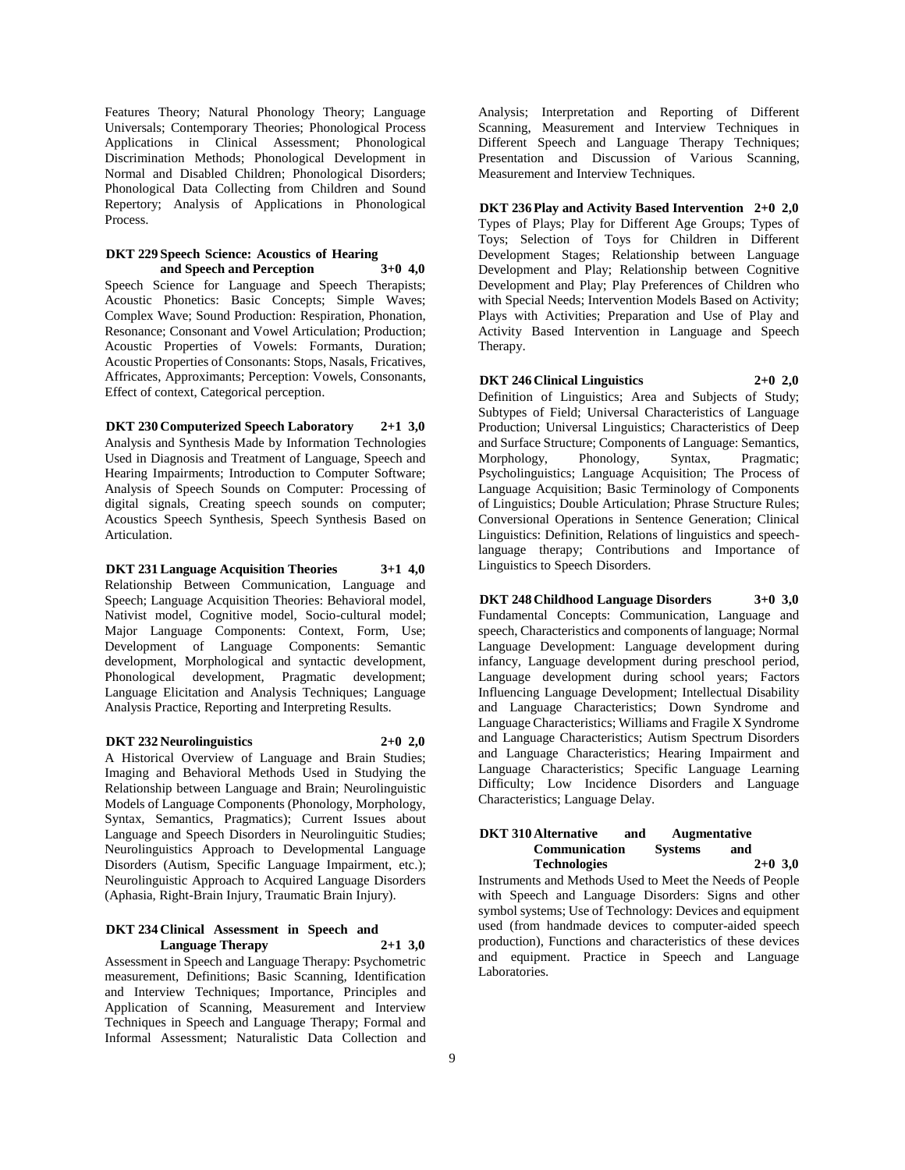Features Theory; Natural Phonology Theory; Language Universals; Contemporary Theories; Phonological Process Applications in Clinical Assessment; Phonological Discrimination Methods; Phonological Development in Normal and Disabled Children; Phonological Disorders; Phonological Data Collecting from Children and Sound Repertory; Analysis of Applications in Phonological Process.

#### **DKT 229 Speech Science: Acoustics of Hearing and Speech and Perception 3+0 4,0**

Speech Science for Language and Speech Therapists; Acoustic Phonetics: Basic Concepts; Simple Waves; Complex Wave; Sound Production: Respiration, Phonation, Resonance; Consonant and Vowel Articulation; Production; Acoustic Properties of Vowels: Formants, Duration; Acoustic Properties of Consonants: Stops, Nasals, Fricatives, Affricates, Approximants; Perception: Vowels, Consonants, Effect of context, Categorical perception.

#### **DKT 230 Computerized Speech Laboratory 2+1 3,0**

Analysis and Synthesis Made by Information Technologies Used in Diagnosis and Treatment of Language, Speech and Hearing Impairments; Introduction to Computer Software; Analysis of Speech Sounds on Computer: Processing of digital signals, Creating speech sounds on computer; Acoustics Speech Synthesis, Speech Synthesis Based on Articulation.

**DKT 231 Language Acquisition Theories 3+1 4,0** Relationship Between Communication, Language and Speech; Language Acquisition Theories: Behavioral model, Nativist model, Cognitive model, Socio-cultural model; Major Language Components: Context, Form, Use; Development of Language Components: Semantic development, Morphological and syntactic development, Phonological development, Pragmatic development; Language Elicitation and Analysis Techniques; Language Analysis Practice, Reporting and Interpreting Results.

#### **DKT 232 Neurolinguistics 2+0 2,0**

A Historical Overview of Language and Brain Studies; Imaging and Behavioral Methods Used in Studying the Relationship between Language and Brain; Neurolinguistic Models of Language Components (Phonology, Morphology, Syntax, Semantics, Pragmatics); Current Issues about Language and Speech Disorders in Neurolinguitic Studies; Neurolinguistics Approach to Developmental Language Disorders (Autism, Specific Language Impairment, etc.); Neurolinguistic Approach to Acquired Language Disorders (Aphasia, Right-Brain Injury, Traumatic Brain Injury).

#### **DKT 234 Clinical Assessment in Speech and Language Therapy 2+1 3,0**

Assessment in Speech and Language Therapy: Psychometric measurement, Definitions; Basic Scanning, Identification and Interview Techniques; Importance, Principles and Application of Scanning, Measurement and Interview Techniques in Speech and Language Therapy; Formal and Informal Assessment; Naturalistic Data Collection and

Analysis; Interpretation and Reporting of Different Scanning, Measurement and Interview Techniques in Different Speech and Language Therapy Techniques; Presentation and Discussion of Various Scanning, Measurement and Interview Techniques.

**DKT 236 Play and Activity Based Intervention 2+0 2,0** Types of Plays; Play for Different Age Groups; Types of Toys; Selection of Toys for Children in Different Development Stages; Relationship between Language Development and Play; Relationship between Cognitive Development and Play; Play Preferences of Children who with Special Needs; Intervention Models Based on Activity; Plays with Activities; Preparation and Use of Play and Activity Based Intervention in Language and Speech Therapy.

## **DKT 246 Clinical Linguistics 2+0 2,0**

Definition of Linguistics; Area and Subjects of Study; Subtypes of Field; Universal Characteristics of Language Production; Universal Linguistics; Characteristics of Deep and Surface Structure; Components of Language: Semantics, Morphology, Phonology, Syntax, Pragmatic; Psycholinguistics; Language Acquisition; The Process of Language Acquisition; Basic Terminology of Components of Linguistics; Double Articulation; Phrase Structure Rules; Conversional Operations in Sentence Generation; Clinical Linguistics: Definition, Relations of linguistics and speechlanguage therapy; Contributions and Importance of Linguistics to Speech Disorders.

#### **DKT 248 Childhood Language Disorders 3+0 3,0** Fundamental Concepts: Communication, Language and

speech, Characteristics and components of language; Normal Language Development: Language development during infancy, Language development during preschool period, Language development during school years; Factors Influencing Language Development; Intellectual Disability and Language Characteristics; Down Syndrome and Language Characteristics; Williams and Fragile X Syndrome and Language Characteristics; Autism Spectrum Disorders and Language Characteristics; Hearing Impairment and Language Characteristics; Specific Language Learning Difficulty; Low Incidence Disorders and Language Characteristics; Language Delay.

#### **DKT 310 Alternative and Augmentative Communication Systems and Technologies 2+0 3,0**

Instruments and Methods Used to Meet the Needs of People with Speech and Language Disorders: Signs and other symbol systems; Use of Technology: Devices and equipment used (from handmade devices to computer-aided speech production), Functions and characteristics of these devices and equipment. Practice in Speech and Language Laboratories.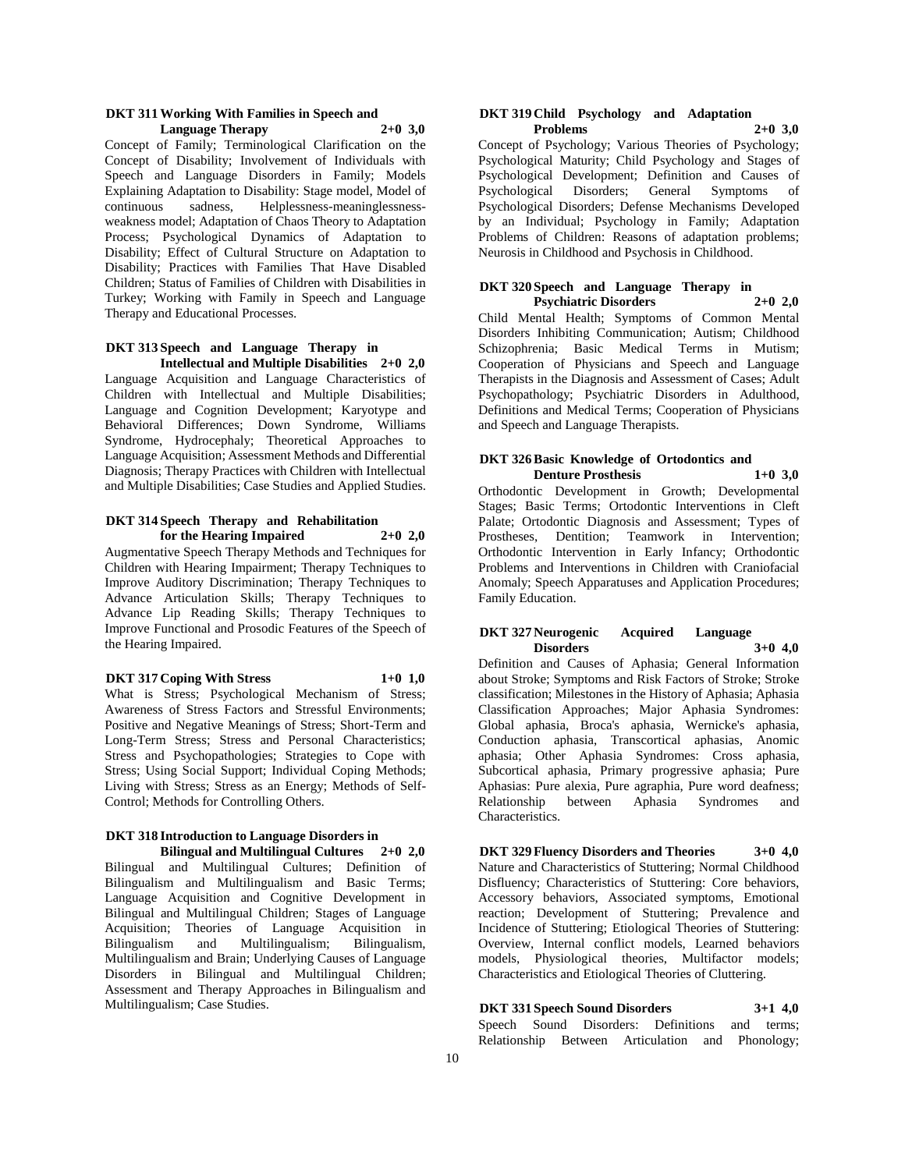#### **DKT 311 Working With Families in Speech and Language Therapy 2+0 3,0**

Concept of Family; Terminological Clarification on the Concept of Disability; Involvement of Individuals with Speech and Language Disorders in Family; Models Explaining Adaptation to Disability: Stage model, Model of continuous sadness, Helplessness-meaninglessnessweakness model; Adaptation of Chaos Theory to Adaptation Process; Psychological Dynamics of Adaptation to Disability; Effect of Cultural Structure on Adaptation to Disability; Practices with Families That Have Disabled Children; Status of Families of Children with Disabilities in Turkey; Working with Family in Speech and Language Therapy and Educational Processes.

#### **DKT 313 Speech and Language Therapy in Intellectual and Multiple Disabilities 2+0 2,0**

Language Acquisition and Language Characteristics of Children with Intellectual and Multiple Disabilities; Language and Cognition Development; Karyotype and Behavioral Differences; Down Syndrome, Williams Syndrome, Hydrocephaly; Theoretical Approaches to Language Acquisition; Assessment Methods and Differential Diagnosis; Therapy Practices with Children with Intellectual and Multiple Disabilities; Case Studies and Applied Studies.

#### **DKT 314 Speech Therapy and Rehabilitation for the Hearing Impaired 2+0 2,0**

Augmentative Speech Therapy Methods and Techniques for Children with Hearing Impairment; Therapy Techniques to Improve Auditory Discrimination; Therapy Techniques to Advance Articulation Skills; Therapy Techniques to Advance Lip Reading Skills; Therapy Techniques to Improve Functional and Prosodic Features of the Speech of the Hearing Impaired.

#### **DKT 317 Coping With Stress 1+0 1,0**

What is Stress; Psychological Mechanism of Stress; Awareness of Stress Factors and Stressful Environments; Positive and Negative Meanings of Stress; Short-Term and Long-Term Stress; Stress and Personal Characteristics; Stress and Psychopathologies; Strategies to Cope with Stress; Using Social Support; Individual Coping Methods; Living with Stress; Stress as an Energy; Methods of Self-Control; Methods for Controlling Others.

#### **DKT 318 Introduction to Language Disorders in Bilingual and Multilingual Cultures 2+0 2,0**

Bilingual and Multilingual Cultures; Definition of Bilingualism and Multilingualism and Basic Terms; Language Acquisition and Cognitive Development in Bilingual and Multilingual Children; Stages of Language Acquisition; Theories of Language Acquisition in Bilingualism and Multilingualism; Bilingualism, Multilingualism and Brain; Underlying Causes of Language Disorders in Bilingual and Multilingual Children; Assessment and Therapy Approaches in Bilingualism and Multilingualism; Case Studies.

#### **DKT 319 Child Psychology and Adaptation Problems 2+0 3,0**

Concept of Psychology; Various Theories of Psychology; Psychological Maturity; Child Psychology and Stages of Psychological Development; Definition and Causes of Psychological Disorders; General Symptoms of Psychological Disorders; Defense Mechanisms Developed by an Individual; Psychology in Family; Adaptation Problems of Children: Reasons of adaptation problems; Neurosis in Childhood and Psychosis in Childhood.

#### **DKT 320 Speech and Language Therapy in Psychiatric Disorders 2+0 2,0**

Child Mental Health; Symptoms of Common Mental Disorders Inhibiting Communication; Autism; Childhood Schizophrenia; Basic Medical Terms in Mutism; Cooperation of Physicians and Speech and Language Therapists in the Diagnosis and Assessment of Cases; Adult Psychopathology; Psychiatric Disorders in Adulthood, Definitions and Medical Terms; Cooperation of Physicians and Speech and Language Therapists.

#### **DKT 326 Basic Knowledge of Ortodontics and Denture Prosthesis 1+0 3,0**

Orthodontic Development in Growth; Developmental Stages; Basic Terms; Ortodontic Interventions in Cleft Palate; Ortodontic Diagnosis and Assessment; Types of Prostheses, Dentition; Teamwork in Intervention; Orthodontic Intervention in Early Infancy; Orthodontic Problems and Interventions in Children with Craniofacial Anomaly; Speech Apparatuses and Application Procedures; Family Education.

#### **DKT 327 Neurogenic Acquired Language Disorders 3+0 4,0**

Definition and Causes of Aphasia; General Information about Stroke; Symptoms and Risk Factors of Stroke; Stroke classification; Milestones in the History of Aphasia; Aphasia Classification Approaches; Major Aphasia Syndromes: Global aphasia, Broca's aphasia, Wernicke's aphasia, Conduction aphasia, Transcortical aphasias, Anomic aphasia; Other Aphasia Syndromes: Cross aphasia, Subcortical aphasia, Primary progressive aphasia; Pure Aphasias: Pure alexia, Pure agraphia, Pure word deafness; Relationship between Aphasia Syndromes and Characteristics.

**DKT 329 Fluency Disorders and Theories 3+0 4,0** Nature and Characteristics of Stuttering; Normal Childhood Disfluency; Characteristics of Stuttering: Core behaviors, Accessory behaviors, Associated symptoms, Emotional reaction; Development of Stuttering; Prevalence and Incidence of Stuttering; Etiological Theories of Stuttering: Overview, Internal conflict models, Learned behaviors models, Physiological theories, Multifactor models; Characteristics and Etiological Theories of Cluttering.

## **DKT 331 Speech Sound Disorders 3+1 4,0**

Speech Sound Disorders: Definitions and terms; Relationship Between Articulation and Phonology;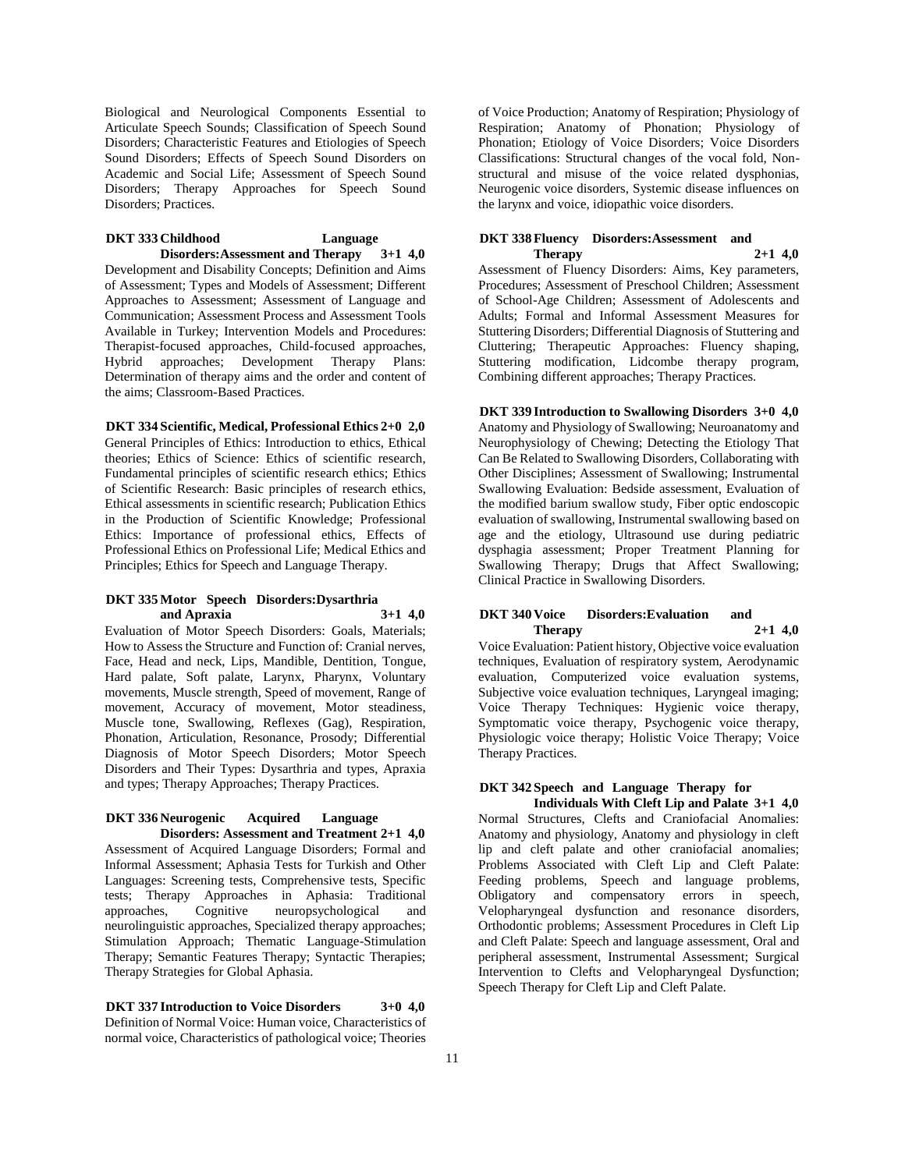Biological and Neurological Components Essential to Articulate Speech Sounds; Classification of Speech Sound Disorders; Characteristic Features and Etiologies of Speech Sound Disorders; Effects of Speech Sound Disorders on Academic and Social Life; Assessment of Speech Sound Disorders; Therapy Approaches for Speech Sound Disorders; Practices.

#### **DKT 333 Childhood Language Disorders:Assessment and Therapy 3+1 4,0**

Development and Disability Concepts; Definition and Aims of Assessment; Types and Models of Assessment; Different Approaches to Assessment; Assessment of Language and Communication; Assessment Process and Assessment Tools Available in Turkey; Intervention Models and Procedures: Therapist-focused approaches, Child-focused approaches, Hybrid approaches; Development Therapy Plans: Determination of therapy aims and the order and content of the aims; Classroom-Based Practices.

#### **DKT 334 Scientific, Medical, Professional Ethics 2+0 2,0**

General Principles of Ethics: Introduction to ethics, Ethical theories; Ethics of Science: Ethics of scientific research, Fundamental principles of scientific research ethics; Ethics of Scientific Research: Basic principles of research ethics, Ethical assessments in scientific research; Publication Ethics in the Production of Scientific Knowledge; Professional Ethics: Importance of professional ethics, Effects of Professional Ethics on Professional Life; Medical Ethics and Principles; Ethics for Speech and Language Therapy.

#### **DKT 335 Motor Speech Disorders:Dysarthria and Apraxia 3+1 4,0**

Evaluation of Motor Speech Disorders: Goals, Materials; How to Assess the Structure and Function of: Cranial nerves, Face, Head and neck, Lips, Mandible, Dentition, Tongue, Hard palate, Soft palate, Larynx, Pharynx, Voluntary movements, Muscle strength, Speed of movement, Range of movement, Accuracy of movement, Motor steadiness, Muscle tone, Swallowing, Reflexes (Gag), Respiration, Phonation, Articulation, Resonance, Prosody; Differential Diagnosis of Motor Speech Disorders; Motor Speech Disorders and Their Types: Dysarthria and types, Apraxia and types; Therapy Approaches; Therapy Practices.

#### **DKT 336 Neurogenic Acquired Language Disorders: Assessment and Treatment 2+1 4,0**

Assessment of Acquired Language Disorders; Formal and Informal Assessment; Aphasia Tests for Turkish and Other Languages: Screening tests, Comprehensive tests, Specific tests; Therapy Approaches in Aphasia: Traditional Cognitive neuropsychological and neurolinguistic approaches, Specialized therapy approaches; Stimulation Approach; Thematic Language-Stimulation Therapy; Semantic Features Therapy; Syntactic Therapies; Therapy Strategies for Global Aphasia.

**DKT 337 Introduction to Voice Disorders 3+0 4,0** Definition of Normal Voice: Human voice, Characteristics of normal voice, Characteristics of pathological voice; Theories

of Voice Production; Anatomy of Respiration; Physiology of Respiration; Anatomy of Phonation; Physiology of Phonation; Etiology of Voice Disorders; Voice Disorders Classifications: Structural changes of the vocal fold, Nonstructural and misuse of the voice related dysphonias, Neurogenic voice disorders, Systemic disease influences on the larynx and voice, idiopathic voice disorders.

#### **DKT 338 Fluency Disorders:Assessment and Therapy 2+1 4,0**

Assessment of Fluency Disorders: Aims, Key parameters, Procedures; Assessment of Preschool Children; Assessment of School-Age Children; Assessment of Adolescents and Adults; Formal and Informal Assessment Measures for Stuttering Disorders; Differential Diagnosis of Stuttering and Cluttering; Therapeutic Approaches: Fluency shaping, Stuttering modification, Lidcombe therapy program, Combining different approaches; Therapy Practices.

**DKT 339 Introduction to Swallowing Disorders 3+0 4,0** Anatomy and Physiology of Swallowing; Neuroanatomy and Neurophysiology of Chewing; Detecting the Etiology That Can Be Related to Swallowing Disorders, Collaborating with Other Disciplines; Assessment of Swallowing; Instrumental Swallowing Evaluation: Bedside assessment, Evaluation of the modified barium swallow study, Fiber optic endoscopic evaluation of swallowing, Instrumental swallowing based on age and the etiology, Ultrasound use during pediatric dysphagia assessment; Proper Treatment Planning for Swallowing Therapy; Drugs that Affect Swallowing; Clinical Practice in Swallowing Disorders.

#### **DKT 340 Voice Disorders:Evaluation and Therapy 2+1 4,0**

Voice Evaluation: Patient history, Objective voice evaluation techniques, Evaluation of respiratory system, Aerodynamic evaluation, Computerized voice evaluation systems, Subjective voice evaluation techniques, Laryngeal imaging; Voice Therapy Techniques: Hygienic voice therapy, Symptomatic voice therapy, Psychogenic voice therapy, Physiologic voice therapy; Holistic Voice Therapy; Voice Therapy Practices.

## **DKT 342 Speech and Language Therapy for**

**Individuals With Cleft Lip and Palate 3+1 4,0** Normal Structures, Clefts and Craniofacial Anomalies: Anatomy and physiology, Anatomy and physiology in cleft lip and cleft palate and other craniofacial anomalies; Problems Associated with Cleft Lip and Cleft Palate: Feeding problems, Speech and language problems, Obligatory and compensatory errors in speech, Velopharyngeal dysfunction and resonance disorders, Orthodontic problems; Assessment Procedures in Cleft Lip and Cleft Palate: Speech and language assessment, Oral and peripheral assessment, Instrumental Assessment; Surgical Intervention to Clefts and Velopharyngeal Dysfunction; Speech Therapy for Cleft Lip and Cleft Palate.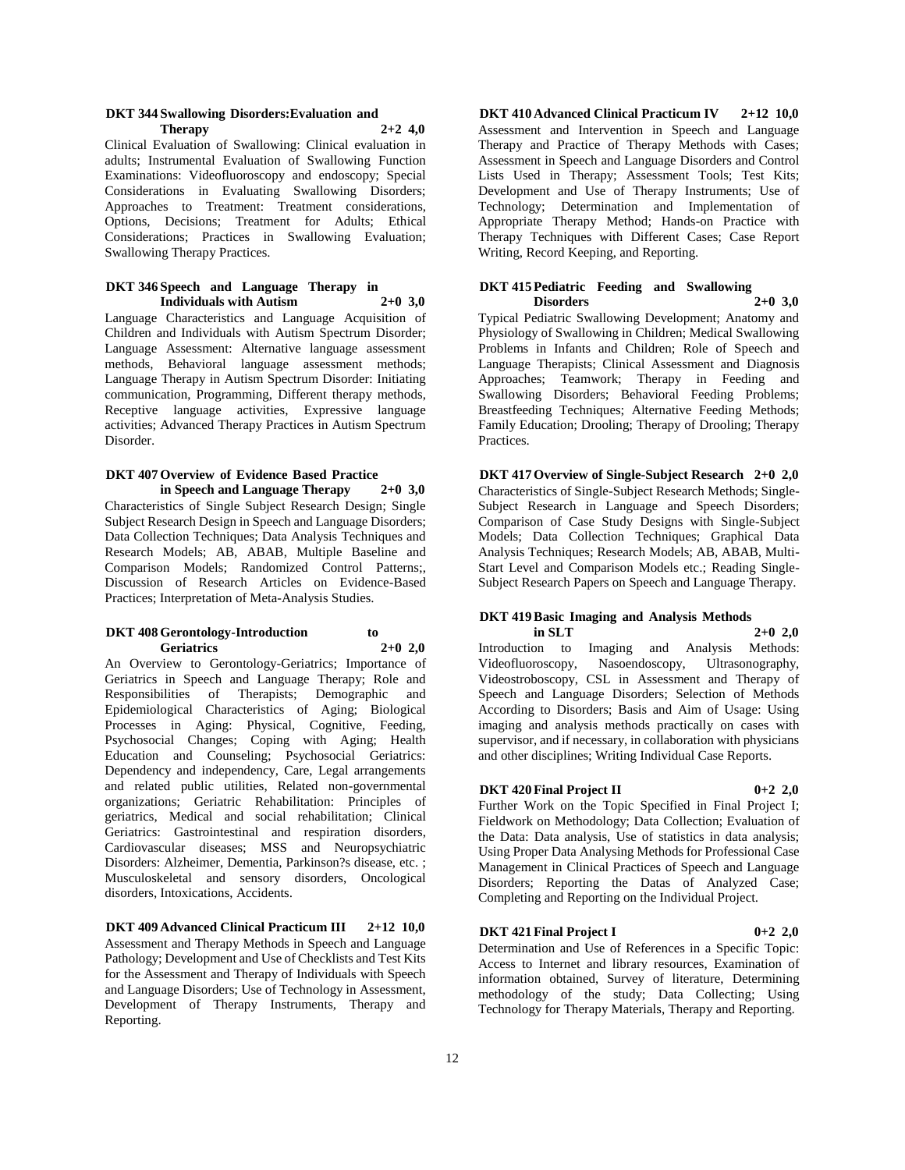#### **DKT 344 Swallowing Disorders:Evaluation and Therapy 2+2 4,0**

Clinical Evaluation of Swallowing: Clinical evaluation in adults; Instrumental Evaluation of Swallowing Function Examinations: Videofluoroscopy and endoscopy; Special Considerations in Evaluating Swallowing Disorders; Approaches to Treatment: Treatment considerations, Options, Decisions; Treatment for Adults; Ethical Considerations; Practices in Swallowing Evaluation; Swallowing Therapy Practices.

#### **DKT 346 Speech and Language Therapy in Individuals with Autism 2+0 3,0**

Language Characteristics and Language Acquisition of Children and Individuals with Autism Spectrum Disorder; Language Assessment: Alternative language assessment methods, Behavioral language assessment methods; Language Therapy in Autism Spectrum Disorder: Initiating communication, Programming, Different therapy methods, Receptive language activities, Expressive language activities; Advanced Therapy Practices in Autism Spectrum Disorder.

#### **DKT 407 Overview of Evidence Based Practice in Speech and Language Therapy 2+0 3,0**

Characteristics of Single Subject Research Design; Single Subject Research Design in Speech and Language Disorders; Data Collection Techniques; Data Analysis Techniques and Research Models; AB, ABAB, Multiple Baseline and Comparison Models; Randomized Control Patterns;, Discussion of Research Articles on Evidence-Based Practices; Interpretation of Meta-Analysis Studies.

#### **DKT 408 Gerontology-Introduction to Geriatrics 2+0 2,0**

An Overview to Gerontology-Geriatrics; Importance of Geriatrics in Speech and Language Therapy; Role and Responsibilities of Therapists; Demographic and Epidemiological Characteristics of Aging; Biological Processes in Aging: Physical, Cognitive, Feeding, Psychosocial Changes; Coping with Aging; Health Education and Counseling; Psychosocial Geriatrics: Dependency and independency, Care, Legal arrangements and related public utilities, Related non-governmental organizations; Geriatric Rehabilitation: Principles of geriatrics, Medical and social rehabilitation; Clinical Geriatrics: Gastrointestinal and respiration disorders, Cardiovascular diseases; MSS and Neuropsychiatric Disorders: Alzheimer, Dementia, Parkinson?s disease, etc. ; Musculoskeletal and sensory disorders, Oncological disorders, Intoxications, Accidents.

**DKT 409 Advanced Clinical Practicum III 2+12 10,0** Assessment and Therapy Methods in Speech and Language Pathology; Development and Use of Checklists and Test Kits for the Assessment and Therapy of Individuals with Speech and Language Disorders; Use of Technology in Assessment, Development of Therapy Instruments, Therapy and Reporting.

**DKT 410 Advanced Clinical Practicum IV 2+12 10,0** Assessment and Intervention in Speech and Language Therapy and Practice of Therapy Methods with Cases; Assessment in Speech and Language Disorders and Control Lists Used in Therapy; Assessment Tools; Test Kits; Development and Use of Therapy Instruments; Use of Technology; Determination and Implementation of Appropriate Therapy Method; Hands-on Practice with Therapy Techniques with Different Cases; Case Report Writing, Record Keeping, and Reporting.

#### **DKT 415 Pediatric Feeding and Swallowing Disorders 2+0 3,0**

Typical Pediatric Swallowing Development; Anatomy and Physiology of Swallowing in Children; Medical Swallowing Problems in Infants and Children; Role of Speech and Language Therapists; Clinical Assessment and Diagnosis Approaches; Teamwork; Therapy in Feeding and Swallowing Disorders; Behavioral Feeding Problems; Breastfeeding Techniques; Alternative Feeding Methods; Family Education; Drooling; Therapy of Drooling; Therapy Practices.

**DKT 417 Overview of Single-Subject Research 2+0 2,0** Characteristics of Single-Subject Research Methods; Single-Subject Research in Language and Speech Disorders; Comparison of Case Study Designs with Single-Subject Models; Data Collection Techniques; Graphical Data Analysis Techniques; Research Models; AB, ABAB, Multi-Start Level and Comparison Models etc.; Reading Single-Subject Research Papers on Speech and Language Therapy.

### **DKT 419 Basic Imaging and Analysis Methods in SLT 2+0 2,0**

Introduction to Imaging and Analysis Methods: Videofluoroscopy, Nasoendoscopy, Ultrasonography, Videostroboscopy, CSL in Assessment and Therapy of Speech and Language Disorders; Selection of Methods According to Disorders; Basis and Aim of Usage: Using imaging and analysis methods practically on cases with supervisor, and if necessary, in collaboration with physicians and other disciplines; Writing Individual Case Reports.

## **DKT 420 Final Project II 0+2 2,0**

Further Work on the Topic Specified in Final Project I; Fieldwork on Methodology; Data Collection; Evaluation of the Data: Data analysis, Use of statistics in data analysis; Using Proper Data Analysing Methods for Professional Case Management in Clinical Practices of Speech and Language Disorders; Reporting the Datas of Analyzed Case; Completing and Reporting on the Individual Project.

#### **DKT 421 Final Project I 0+2 2,0**

Determination and Use of References in a Specific Topic: Access to Internet and library resources, Examination of information obtained, Survey of literature, Determining methodology of the study; Data Collecting; Using Technology for Therapy Materials, Therapy and Reporting.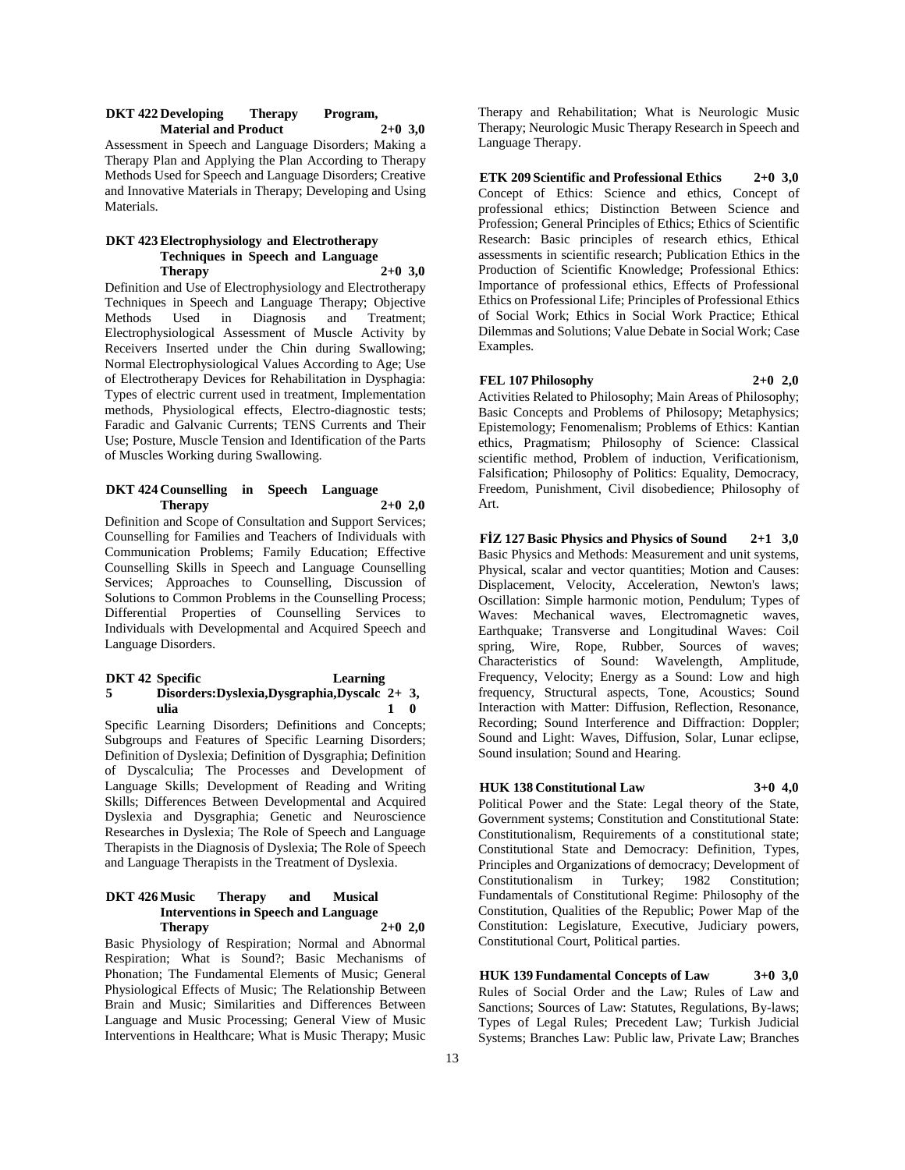#### **DKT 422 Developing Therapy Program, Material and Product 2+0 3,0**

Assessment in Speech and Language Disorders; Making a Therapy Plan and Applying the Plan According to Therapy Methods Used for Speech and Language Disorders; Creative and Innovative Materials in Therapy; Developing and Using Materials.

#### **DKT 423 Electrophysiology and Electrotherapy Techniques in Speech and Language Therapy 2+0 3,0**

Definition and Use of Electrophysiology and Electrotherapy Techniques in Speech and Language Therapy; Objective Methods Used in Diagnosis and Treatment; Electrophysiological Assessment of Muscle Activity by Receivers Inserted under the Chin during Swallowing; Normal Electrophysiological Values According to Age; Use of Electrotherapy Devices for Rehabilitation in Dysphagia: Types of electric current used in treatment, Implementation methods, Physiological effects, Electro-diagnostic tests; Faradic and Galvanic Currents; TENS Currents and Their Use; Posture, Muscle Tension and Identification of the Parts of Muscles Working during Swallowing.

#### **DKT 424 Counselling in Speech Language Therapy 2+0 2,0**

Definition and Scope of Consultation and Support Services; Counselling for Families and Teachers of Individuals with Communication Problems; Family Education; Effective Counselling Skills in Speech and Language Counselling Services; Approaches to Counselling, Discussion of Solutions to Common Problems in the Counselling Process; Differential Properties of Counselling Services to Individuals with Developmental and Acquired Speech and Language Disorders.

#### **DKT 42 5**  Learning **Disorders:Dyslexia,Dysgraphia,Dyscalc 2+ 3, ulia 1 0**

Specific Learning Disorders; Definitions and Concepts; Subgroups and Features of Specific Learning Disorders; Definition of Dyslexia; Definition of Dysgraphia; Definition of Dyscalculia; The Processes and Development of Language Skills; Development of Reading and Writing Skills; Differences Between Developmental and Acquired Dyslexia and Dysgraphia; Genetic and Neuroscience Researches in Dyslexia; The Role of Speech and Language Therapists in the Diagnosis of Dyslexia; The Role of Speech and Language Therapists in the Treatment of Dyslexia.

#### **DKT 426 Music Therapy and Musical Interventions in Speech and Language Therapy 2+0 2,0**

Basic Physiology of Respiration; Normal and Abnormal Respiration; What is Sound?; Basic Mechanisms of Phonation; The Fundamental Elements of Music; General Physiological Effects of Music; The Relationship Between Brain and Music; Similarities and Differences Between Language and Music Processing; General View of Music Interventions in Healthcare; What is Music Therapy; Music

Therapy and Rehabilitation; What is Neurologic Music Therapy; Neurologic Music Therapy Research in Speech and Language Therapy.

**ETK 209 Scientific and Professional Ethics 2+0 3,0** Concept of Ethics: Science and ethics, Concept of professional ethics; Distinction Between Science and Profession; General Principles of Ethics; Ethics of Scientific Research: Basic principles of research ethics, Ethical assessments in scientific research; Publication Ethics in the Production of Scientific Knowledge; Professional Ethics: Importance of professional ethics, Effects of Professional Ethics on Professional Life; Principles of Professional Ethics of Social Work; Ethics in Social Work Practice; Ethical Dilemmas and Solutions; Value Debate in Social Work; Case Examples.

#### **FEL 107 Philosophy 2+0 2,0**

Activities Related to Philosophy; Main Areas of Philosophy; Basic Concepts and Problems of Philosopy; Metaphysics; Epistemology; Fenomenalism; Problems of Ethics: Kantian ethics, Pragmatism; Philosophy of Science: Classical scientific method, Problem of induction, Verificationism, Falsification; Philosophy of Politics: Equality, Democracy, Freedom, Punishment, Civil disobedience; Philosophy of Art.

**FİZ 127 Basic Physics and Physics of Sound 2+1 3,0** Basic Physics and Methods: Measurement and unit systems, Physical, scalar and vector quantities; Motion and Causes: Displacement, Velocity, Acceleration, Newton's laws; Oscillation: Simple harmonic motion, Pendulum; Types of Waves: Mechanical waves, Electromagnetic waves, Earthquake; Transverse and Longitudinal Waves: Coil spring, Wire, Rope, Rubber, Sources of waves; Characteristics of Sound: Wavelength, Amplitude, Frequency, Velocity; Energy as a Sound: Low and high frequency, Structural aspects, Tone, Acoustics; Sound Interaction with Matter: Diffusion, Reflection, Resonance, Recording; Sound Interference and Diffraction: Doppler; Sound and Light: Waves, Diffusion, Solar, Lunar eclipse, Sound insulation; Sound and Hearing.

#### **HUK 138 Constitutional Law 3+0 4,0**

Political Power and the State: Legal theory of the State, Government systems; Constitution and Constitutional State: Constitutionalism, Requirements of a constitutional state; Constitutional State and Democracy: Definition, Types, Principles and Organizations of democracy; Development of Constitutionalism in Turkey; 1982 Constitution; Fundamentals of Constitutional Regime: Philosophy of the Constitution, Qualities of the Republic; Power Map of the Constitution: Legislature, Executive, Judiciary powers, Constitutional Court, Political parties.

**HUK 139 Fundamental Concepts of Law 3+0 3,0** Rules of Social Order and the Law; Rules of Law and Sanctions; Sources of Law: Statutes, Regulations, By-laws; Types of Legal Rules; Precedent Law; Turkish Judicial Systems; Branches Law: Public law, Private Law; Branches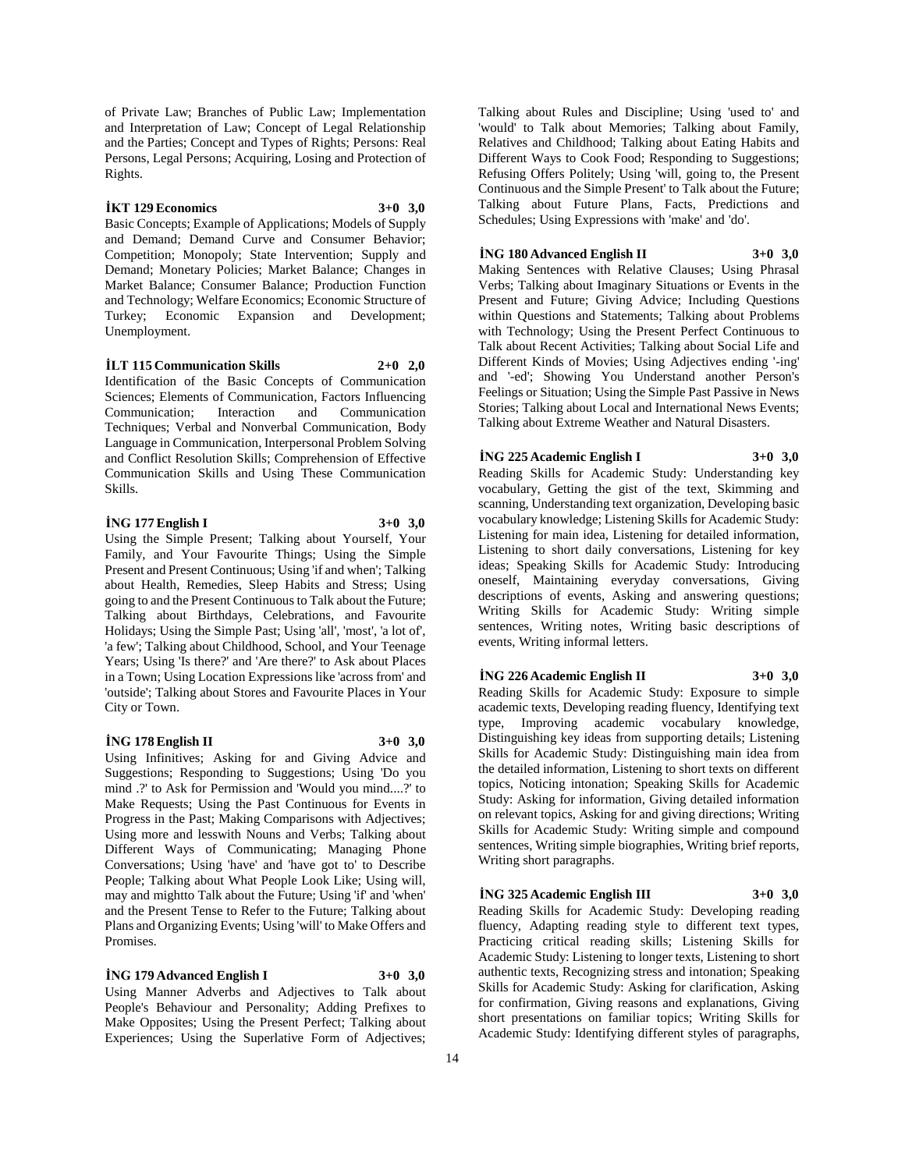of Private Law; Branches of Public Law; Implementation and Interpretation of Law; Concept of Legal Relationship and the Parties; Concept and Types of Rights; Persons: Real Persons, Legal Persons; Acquiring, Losing and Protection of Rights.

#### **İKT 129 Economics 3+0 3,0**

Basic Concepts; Example of Applications; Models of Supply and Demand; Demand Curve and Consumer Behavior; Competition; Monopoly; State Intervention; Supply and Demand; Monetary Policies; Market Balance; Changes in Market Balance; Consumer Balance; Production Function and Technology; Welfare Economics; Economic Structure of Turkey; Economic Expansion and Development; Unemployment.

**İLT 115 Communication Skills 2+0 2,0** Identification of the Basic Concepts of Communication Sciences; Elements of Communication, Factors Influencing Communication; Interaction and Communication Techniques; Verbal and Nonverbal Communication, Body Language in Communication, Interpersonal Problem Solving and Conflict Resolution Skills; Comprehension of Effective Communication Skills and Using These Communication Skills.

#### **İNG 177 English I 3+0 3,0**

Using the Simple Present; Talking about Yourself, Your Family, and Your Favourite Things; Using the Simple Present and Present Continuous; Using 'if and when'; Talking about Health, Remedies, Sleep Habits and Stress; Using going to and the Present Continuous to Talk about the Future; Talking about Birthdays, Celebrations, and Favourite Holidays; Using the Simple Past; Using 'all', 'most', 'a lot of', 'a few'; Talking about Childhood, School, and Your Teenage Years; Using 'Is there?' and 'Are there?' to Ask about Places in a Town; Using Location Expressions like 'across from' and 'outside'; Talking about Stores and Favourite Places in Your City or Town.

#### **İNG 178 English II 3+0 3,0**

Using Infinitives; Asking for and Giving Advice and Suggestions; Responding to Suggestions; Using 'Do you mind .?' to Ask for Permission and 'Would you mind....?' to Make Requests; Using the Past Continuous for Events in Progress in the Past; Making Comparisons with Adjectives; Using more and lesswith Nouns and Verbs; Talking about Different Ways of Communicating; Managing Phone Conversations; Using 'have' and 'have got to' to Describe People; Talking about What People Look Like; Using will, may and mightto Talk about the Future; Using 'if' and 'when' and the Present Tense to Refer to the Future; Talking about Plans and Organizing Events; Using 'will' to Make Offers and Promises.

#### **İNG 179 Advanced English I 3+0 3,0**

Using Manner Adverbs and Adjectives to Talk about People's Behaviour and Personality; Adding Prefixes to Make Opposites; Using the Present Perfect; Talking about Experiences; Using the Superlative Form of Adjectives; Talking about Rules and Discipline; Using 'used to' and 'would' to Talk about Memories; Talking about Family, Relatives and Childhood; Talking about Eating Habits and Different Ways to Cook Food; Responding to Suggestions; Refusing Offers Politely; Using 'will, going to, the Present Continuous and the Simple Present' to Talk about the Future; Talking about Future Plans, Facts, Predictions and Schedules; Using Expressions with 'make' and 'do'.

#### **İNG 180 Advanced English II 3+0 3,0**

Making Sentences with Relative Clauses; Using Phrasal Verbs; Talking about Imaginary Situations or Events in the Present and Future; Giving Advice; Including Questions within Questions and Statements; Talking about Problems with Technology; Using the Present Perfect Continuous to Talk about Recent Activities; Talking about Social Life and Different Kinds of Movies; Using Adjectives ending '-ing' and '-ed'; Showing You Understand another Person's Feelings or Situation; Using the Simple Past Passive in News Stories; Talking about Local and International News Events; Talking about Extreme Weather and Natural Disasters.

#### **İNG 225 Academic English I 3+0 3,0**

Reading Skills for Academic Study: Understanding key vocabulary, Getting the gist of the text, Skimming and scanning, Understanding text organization, Developing basic vocabulary knowledge; Listening Skills for Academic Study: Listening for main idea, Listening for detailed information, Listening to short daily conversations, Listening for key ideas; Speaking Skills for Academic Study: Introducing oneself, Maintaining everyday conversations, Giving descriptions of events, Asking and answering questions; Writing Skills for Academic Study: Writing simple sentences, Writing notes, Writing basic descriptions of events, Writing informal letters.

#### **İNG 226 Academic English II 3+0 3,0**

Reading Skills for Academic Study: Exposure to simple academic texts, Developing reading fluency, Identifying text type, Improving academic vocabulary knowledge, Distinguishing key ideas from supporting details; Listening Skills for Academic Study: Distinguishing main idea from the detailed information, Listening to short texts on different topics, Noticing intonation; Speaking Skills for Academic Study: Asking for information, Giving detailed information on relevant topics, Asking for and giving directions; Writing Skills for Academic Study: Writing simple and compound sentences, Writing simple biographies, Writing brief reports, Writing short paragraphs.

**İNG 325 Academic English III 3+0 3,0** Reading Skills for Academic Study: Developing reading

fluency, Adapting reading style to different text types, Practicing critical reading skills; Listening Skills for Academic Study: Listening to longer texts, Listening to short authentic texts, Recognizing stress and intonation; Speaking Skills for Academic Study: Asking for clarification, Asking for confirmation, Giving reasons and explanations, Giving short presentations on familiar topics; Writing Skills for Academic Study: Identifying different styles of paragraphs,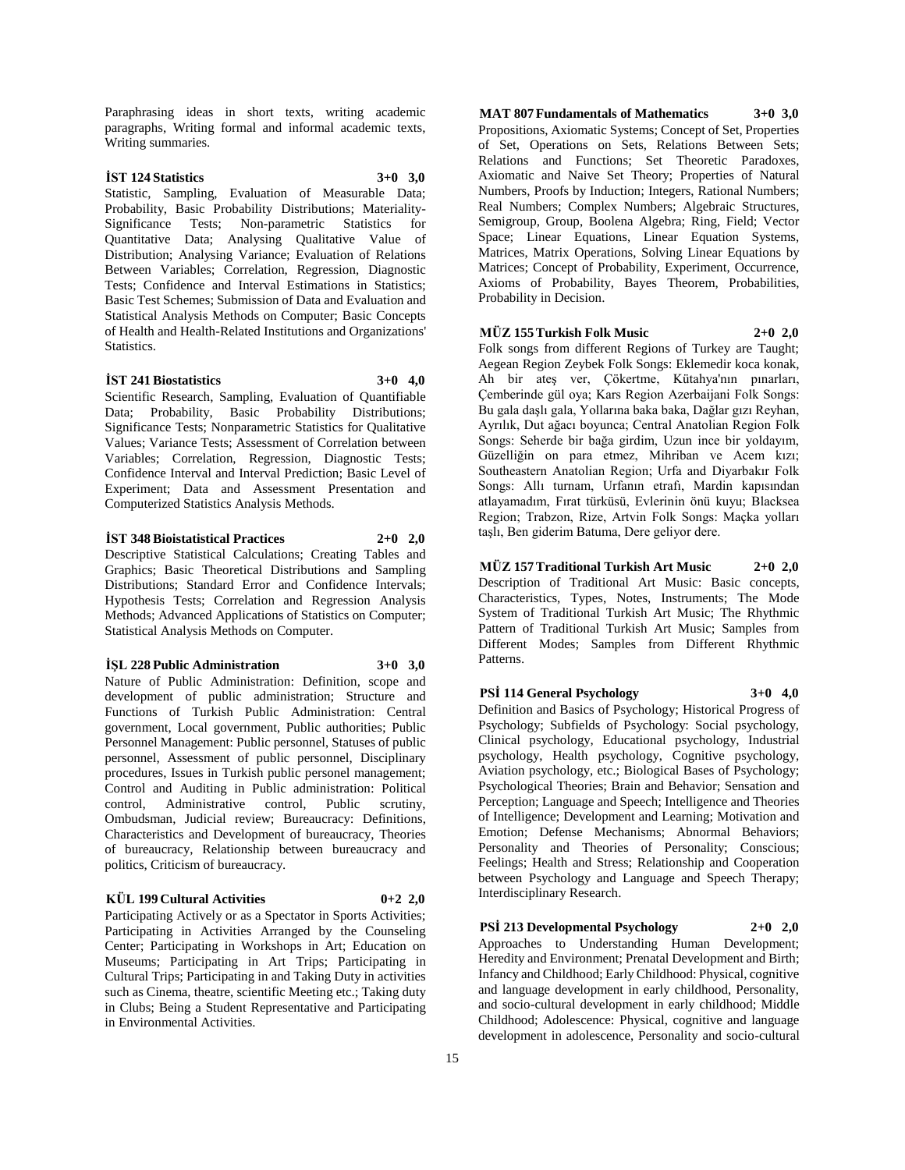Paraphrasing ideas in short texts, writing academic paragraphs, Writing formal and informal academic texts, Writing summaries.

## **İST 124 Statistics 3+0 3,0**

Statistic, Sampling, Evaluation of Measurable Data; Probability, Basic Probability Distributions; Materiality-Significance Tests; Non-parametric Statistics for Quantitative Data; Analysing Qualitative Value of Distribution; Analysing Variance; Evaluation of Relations Between Variables; Correlation, Regression, Diagnostic Tests; Confidence and Interval Estimations in Statistics; Basic Test Schemes; Submission of Data and Evaluation and Statistical Analysis Methods on Computer; Basic Concepts of Health and Health-Related Institutions and Organizations' Statistics.

#### **İST 241 Biostatistics 3+0 4,0**

Scientific Research, Sampling, Evaluation of Quantifiable Data; Probability, Basic Probability Distributions; Significance Tests; Nonparametric Statistics for Qualitative Values; Variance Tests; Assessment of Correlation between Variables; Correlation, Regression, Diagnostic Tests; Confidence Interval and Interval Prediction; Basic Level of Experiment; Data and Assessment Presentation and Computerized Statistics Analysis Methods.

#### **İST 348 Bioistatistical Practices 2+0 2,0**

Descriptive Statistical Calculations; Creating Tables and Graphics; Basic Theoretical Distributions and Sampling Distributions; Standard Error and Confidence Intervals; Hypothesis Tests; Correlation and Regression Analysis Methods; Advanced Applications of Statistics on Computer; Statistical Analysis Methods on Computer.

#### **İŞL 228 Public Administration 3+0 3,0**

Nature of Public Administration: Definition, scope and development of public administration; Structure and Functions of Turkish Public Administration: Central government, Local government, Public authorities; Public Personnel Management: Public personnel, Statuses of public personnel, Assessment of public personnel, Disciplinary procedures, Issues in Turkish public personel management; Control and Auditing in Public administration: Political control, Administrative control, Public scrutiny, Ombudsman, Judicial review; Bureaucracy: Definitions, Characteristics and Development of bureaucracy, Theories of bureaucracy, Relationship between bureaucracy and politics, Criticism of bureaucracy.

#### **KÜL 199 Cultural Activities 0+2 2,0**

Participating Actively or as a Spectator in Sports Activities; Participating in Activities Arranged by the Counseling Center; Participating in Workshops in Art; Education on Museums; Participating in Art Trips; Participating in Cultural Trips; Participating in and Taking Duty in activities such as Cinema, theatre, scientific Meeting etc.; Taking duty in Clubs; Being a Student Representative and Participating in Environmental Activities.

**MAT 807 Fundamentals of Mathematics 3+0 3,0** Propositions, Axiomatic Systems; Concept of Set, Properties of Set, Operations on Sets, Relations Between Sets; Relations and Functions; Set Theoretic Paradoxes, Axiomatic and Naive Set Theory; Properties of Natural Numbers, Proofs by Induction; Integers, Rational Numbers; Real Numbers; Complex Numbers; Algebraic Structures, Semigroup, Group, Boolena Algebra; Ring, Field; Vector Space; Linear Equations, Linear Equation Systems, Matrices, Matrix Operations, Solving Linear Equations by Matrices; Concept of Probability, Experiment, Occurrence, Axioms of Probability, Bayes Theorem, Probabilities, Probability in Decision.

#### **MÜZ 155 Turkish Folk Music 2+0 2,0**

Folk songs from different Regions of Turkey are Taught; Aegean Region Zeybek Folk Songs: Eklemedir koca konak, Ah bir ateş ver, Çökertme, Kütahya'nın pınarları, Çemberinde gül oya; Kars Region Azerbaijani Folk Songs: Bu gala daşlı gala, Yollarına baka baka, Dağlar gızı Reyhan, Ayrılık, Dut ağacı boyunca; Central Anatolian Region Folk Songs: Seherde bir bağa girdim, Uzun ince bir yoldayım, Güzelliğin on para etmez, Mihriban ve Acem kızı; Southeastern Anatolian Region; Urfa and Diyarbakır Folk Songs: Allı turnam, Urfanın etrafı, Mardin kapısından atlayamadım, Fırat türküsü, Evlerinin önü kuyu; Blacksea Region; Trabzon, Rize, Artvin Folk Songs: Maçka yolları taşlı, Ben giderim Batuma, Dere geliyor dere.

## **MÜZ 157 Traditional Turkish Art Music 2+0 2,0**

Description of Traditional Art Music: Basic concepts, Characteristics, Types, Notes, Instruments; The Mode System of Traditional Turkish Art Music; The Rhythmic Pattern of Traditional Turkish Art Music; Samples from Different Modes; Samples from Different Rhythmic Patterns.

## **PSİ 114 General Psychology 3+0 4,0**

Definition and Basics of Psychology; Historical Progress of Psychology; Subfields of Psychology: Social psychology, Clinical psychology, Educational psychology, Industrial psychology, Health psychology, Cognitive psychology, Aviation psychology, etc.; Biological Bases of Psychology; Psychological Theories; Brain and Behavior; Sensation and Perception; Language and Speech; Intelligence and Theories of Intelligence; Development and Learning; Motivation and Emotion; Defense Mechanisms; Abnormal Behaviors; Personality and Theories of Personality; Conscious; Feelings; Health and Stress; Relationship and Cooperation between Psychology and Language and Speech Therapy; Interdisciplinary Research.

## **PSİ 213 Developmental Psychology 2+0 2,0**

Approaches to Understanding Human Development; Heredity and Environment; Prenatal Development and Birth; Infancy and Childhood; Early Childhood: Physical, cognitive and language development in early childhood, Personality, and socio-cultural development in early childhood; Middle Childhood; Adolescence: Physical, cognitive and language development in adolescence, Personality and socio-cultural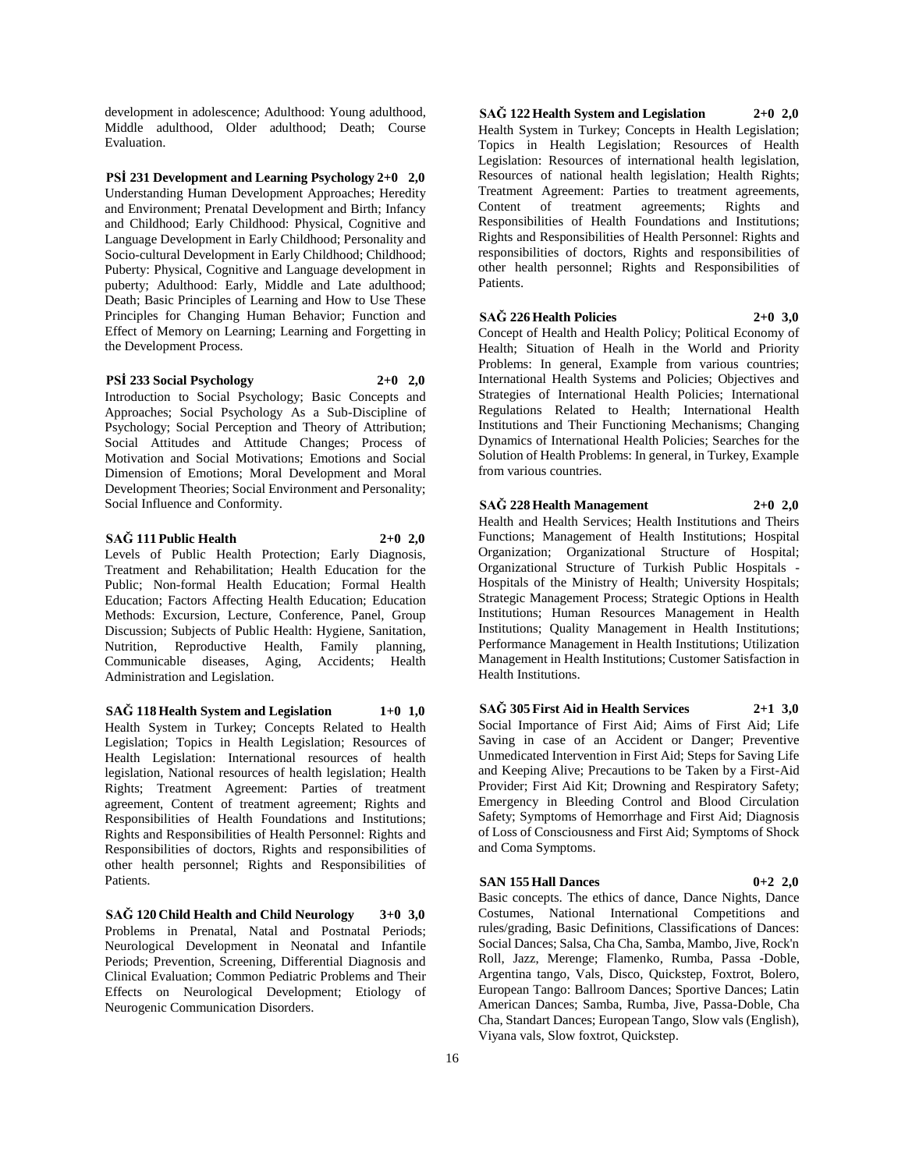development in adolescence; Adulthood: Young adulthood, Middle adulthood, Older adulthood; Death; Course Evaluation.

**PSİ 231 Development and Learning Psychology 2+0 2,0** Understanding Human Development Approaches; Heredity and Environment; Prenatal Development and Birth; Infancy and Childhood; Early Childhood: Physical, Cognitive and Language Development in Early Childhood; Personality and Socio-cultural Development in Early Childhood; Childhood; Puberty: Physical, Cognitive and Language development in puberty; Adulthood: Early, Middle and Late adulthood; Death; Basic Principles of Learning and How to Use These Principles for Changing Human Behavior; Function and Effect of Memory on Learning; Learning and Forgetting in the Development Process.

#### **PSİ 233 Social Psychology 2+0 2,0**

Introduction to Social Psychology; Basic Concepts and Approaches; Social Psychology As a Sub-Discipline of Psychology; Social Perception and Theory of Attribution; Social Attitudes and Attitude Changes; Process of Motivation and Social Motivations; Emotions and Social Dimension of Emotions; Moral Development and Moral Development Theories; Social Environment and Personality; Social Influence and Conformity.

#### **SAĞ 111 Public Health 2+0 2,0**

Levels of Public Health Protection; Early Diagnosis, Treatment and Rehabilitation; Health Education for the Public; Non-formal Health Education; Formal Health Education; Factors Affecting Health Education; Education Methods: Excursion, Lecture, Conference, Panel, Group Discussion; Subjects of Public Health: Hygiene, Sanitation, Nutrition, Reproductive Health, Family planning, Communicable diseases, Aging, Accidents; Health Administration and Legislation.

**SAĞ 118 Health System and Legislation 1+0 1,0** Health System in Turkey; Concepts Related to Health Legislation; Topics in Health Legislation; Resources of Health Legislation: International resources of health legislation, National resources of health legislation; Health Rights; Treatment Agreement: Parties of treatment agreement, Content of treatment agreement; Rights and Responsibilities of Health Foundations and Institutions; Rights and Responsibilities of Health Personnel: Rights and Responsibilities of doctors, Rights and responsibilities of other health personnel; Rights and Responsibilities of Patients.

**SAĞ 120 Child Health and Child Neurology 3+0 3,0** Problems in Prenatal, Natal and Postnatal Periods; Neurological Development in Neonatal and Infantile Periods; Prevention, Screening, Differential Diagnosis and Clinical Evaluation; Common Pediatric Problems and Their Effects on Neurological Development; Etiology of Neurogenic Communication Disorders.

**SAĞ 122 Health System and Legislation 2+0 2,0** Health System in Turkey; Concepts in Health Legislation; Topics in Health Legislation; Resources of Health Legislation: Resources of international health legislation, Resources of national health legislation; Health Rights; Treatment Agreement: Parties to treatment agreements, Content of treatment agreements; Rights and Responsibilities of Health Foundations and Institutions; Rights and Responsibilities of Health Personnel: Rights and responsibilities of doctors, Rights and responsibilities of other health personnel; Rights and Responsibilities of Patients.

#### **SAĞ 226 Health Policies 2+0 3,0**

Concept of Health and Health Policy; Political Economy of Health; Situation of Healh in the World and Priority Problems: In general, Example from various countries; International Health Systems and Policies; Objectives and Strategies of International Health Policies; International Regulations Related to Health; International Health Institutions and Their Functioning Mechanisms; Changing Dynamics of International Health Policies; Searches for the Solution of Health Problems: In general, in Turkey, Example from various countries.

**SAĞ 228 Health Management 2+0 2,0**

Health and Health Services; Health Institutions and Theirs Functions; Management of Health Institutions; Hospital Organization; Organizational Structure of Hospital; Organizational Structure of Turkish Public Hospitals - Hospitals of the Ministry of Health; University Hospitals; Strategic Management Process; Strategic Options in Health Institutions; Human Resources Management in Health Institutions; Quality Management in Health Institutions; Performance Management in Health Institutions; Utilization Management in Health Institutions; Customer Satisfaction in Health Institutions.

**SAĞ 305 First Aid in Health Services 2+1 3,0** Social Importance of First Aid; Aims of First Aid; Life Saving in case of an Accident or Danger; Preventive Unmedicated Intervention in First Aid; Steps for Saving Life and Keeping Alive; Precautions to be Taken by a First-Aid Provider; First Aid Kit; Drowning and Respiratory Safety; Emergency in Bleeding Control and Blood Circulation Safety; Symptoms of Hemorrhage and First Aid; Diagnosis of Loss of Consciousness and First Aid; Symptoms of Shock and Coma Symptoms.

#### **SAN 155 Hall Dances 0+2 2,0**

Basic concepts. The ethics of dance, Dance Nights, Dance Costumes, National International Competitions and rules/grading, Basic Definitions, Classifications of Dances: Social Dances; Salsa, Cha Cha, Samba, Mambo, Jive, Rock'n Roll, Jazz, Merenge; Flamenko, Rumba, Passa -Doble, Argentina tango, Vals, Disco, Quickstep, Foxtrot, Bolero, European Tango: Ballroom Dances; Sportive Dances; Latin American Dances; Samba, Rumba, Jive, Passa-Doble, Cha Cha, Standart Dances; European Tango, Slow vals (English), Viyana vals, Slow foxtrot, Quickstep.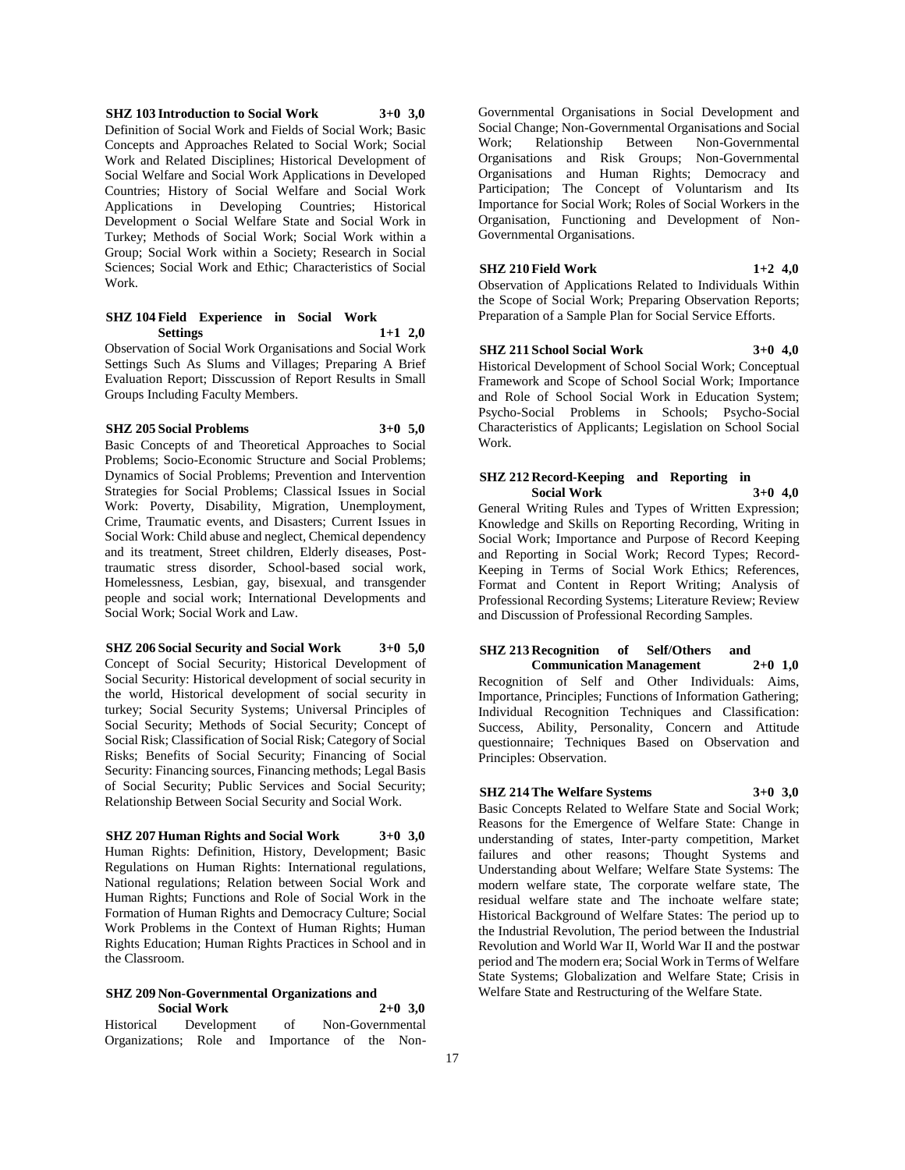**SHZ 103 Introduction to Social Work 3+0 3,0** Definition of Social Work and Fields of Social Work; Basic Concepts and Approaches Related to Social Work; Social Work and Related Disciplines; Historical Development of Social Welfare and Social Work Applications in Developed Countries; History of Social Welfare and Social Work Applications in Developing Countries; Historical Development o Social Welfare State and Social Work in Turkey; Methods of Social Work; Social Work within a Group; Social Work within a Society; Research in Social Sciences; Social Work and Ethic; Characteristics of Social Work.

#### **SHZ 104 Field Experience in Social Work Settings 1+1 2,0**

Observation of Social Work Organisations and Social Work Settings Such As Slums and Villages; Preparing A Brief Evaluation Report; Disscussion of Report Results in Small Groups Including Faculty Members.

#### **SHZ 205 Social Problems 3+0 5,0**

Basic Concepts of and Theoretical Approaches to Social Problems; Socio-Economic Structure and Social Problems; Dynamics of Social Problems; Prevention and Intervention Strategies for Social Problems; Classical Issues in Social Work: Poverty, Disability, Migration, Unemployment, Crime, Traumatic events, and Disasters; Current Issues in Social Work: Child abuse and neglect, Chemical dependency and its treatment, Street children, Elderly diseases, Posttraumatic stress disorder, School-based social work, Homelessness, Lesbian, gay, bisexual, and transgender people and social work; International Developments and Social Work; Social Work and Law.

#### **SHZ 206 Social Security and Social Work 3+0 5,0**

Concept of Social Security; Historical Development of Social Security: Historical development of social security in the world, Historical development of social security in turkey; Social Security Systems; Universal Principles of Social Security; Methods of Social Security; Concept of Social Risk; Classification of Social Risk; Category of Social Risks; Benefits of Social Security; Financing of Social Security: Financing sources, Financing methods; Legal Basis of Social Security; Public Services and Social Security; Relationship Between Social Security and Social Work.

#### **SHZ 207 Human Rights and Social Work 3+0 3,0**

Human Rights: Definition, History, Development; Basic Regulations on Human Rights: International regulations, National regulations; Relation between Social Work and Human Rights; Functions and Role of Social Work in the Formation of Human Rights and Democracy Culture; Social Work Problems in the Context of Human Rights; Human Rights Education; Human Rights Practices in School and in the Classroom.

#### **SHZ 209 Non-Governmental Organizations and Social Work 2+0 3,0**

|                                                |             |  | _ _ |  |                  |
|------------------------------------------------|-------------|--|-----|--|------------------|
| Historical                                     | Development |  | of  |  | Non-Governmental |
| Organizations; Role and Importance of the Non- |             |  |     |  |                  |

Governmental Organisations in Social Development and Social Change; Non-Governmental Organisations and Social Between Non-Governmental Organisations and Risk Groups; Non-Governmental Organisations and Human Rights; Democracy and Participation; The Concept of Voluntarism and Its Importance for Social Work; Roles of Social Workers in the Organisation, Functioning and Development of Non-Governmental Organisations.

#### **SHZ 210 Field Work 1+2 4,0**

Observation of Applications Related to Individuals Within the Scope of Social Work; Preparing Observation Reports; Preparation of a Sample Plan for Social Service Efforts.

#### **SHZ 211 School Social Work 3+0 4,0**

Historical Development of School Social Work; Conceptual Framework and Scope of School Social Work; Importance and Role of School Social Work in Education System; Psycho-Social Problems in Schools; Psycho-Social Characteristics of Applicants; Legislation on School Social Work.

#### **SHZ 212 Record-Keeping and Reporting in Social Work 3+0 4,0**

General Writing Rules and Types of Written Expression; Knowledge and Skills on Reporting Recording, Writing in Social Work; Importance and Purpose of Record Keeping and Reporting in Social Work; Record Types; Record-Keeping in Terms of Social Work Ethics; References, Format and Content in Report Writing; Analysis of Professional Recording Systems; Literature Review; Review and Discussion of Professional Recording Samples.

#### **SHZ 213 Recognition of Self/Others and Communication Management 2+0 1,0**

Recognition of Self and Other Individuals: Aims, Importance, Principles; Functions of Information Gathering; Individual Recognition Techniques and Classification: Success, Ability, Personality, Concern and Attitude questionnaire; Techniques Based on Observation and Principles: Observation.

## **SHZ 214 The Welfare Systems 3+0 3,0**

Basic Concepts Related to Welfare State and Social Work; Reasons for the Emergence of Welfare State: Change in understanding of states, Inter-party competition, Market failures and other reasons; Thought Systems and Understanding about Welfare; Welfare State Systems: The modern welfare state, The corporate welfare state, The residual welfare state and The inchoate welfare state; Historical Background of Welfare States: The period up to the Industrial Revolution, The period between the Industrial Revolution and World War II, World War II and the postwar period and The modern era; Social Work in Terms of Welfare State Systems; Globalization and Welfare State; Crisis in Welfare State and Restructuring of the Welfare State.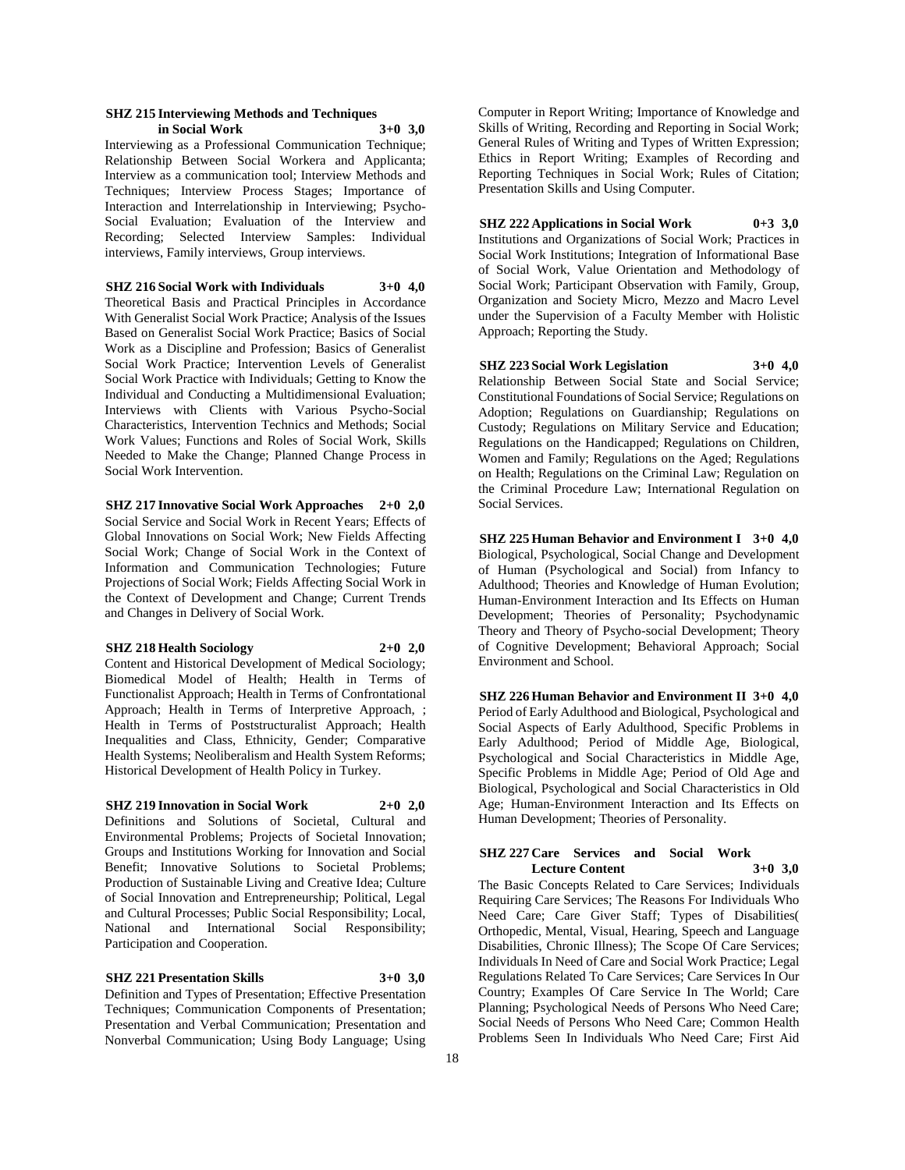#### **SHZ 215 Interviewing Methods and Techniques in Social Work 3+0 3,0**

Interviewing as a Professional Communication Technique; Relationship Between Social Workera and Applicanta; Interview as a communication tool; Interview Methods and Techniques; Interview Process Stages; Importance of Interaction and Interrelationship in Interviewing; Psycho-Social Evaluation; Evaluation of the Interview and Recording; Selected Interview Samples: Individual interviews, Family interviews, Group interviews.

**SHZ 216 Social Work with Individuals 3+0 4,0**

Theoretical Basis and Practical Principles in Accordance With Generalist Social Work Practice; Analysis of the Issues Based on Generalist Social Work Practice; Basics of Social Work as a Discipline and Profession; Basics of Generalist Social Work Practice; Intervention Levels of Generalist Social Work Practice with Individuals; Getting to Know the Individual and Conducting a Multidimensional Evaluation; Interviews with Clients with Various Psycho-Social Characteristics, Intervention Technics and Methods; Social Work Values; Functions and Roles of Social Work, Skills Needed to Make the Change; Planned Change Process in Social Work Intervention.

**SHZ 217 Innovative Social Work Approaches 2+0 2,0** Social Service and Social Work in Recent Years; Effects of Global Innovations on Social Work; New Fields Affecting Social Work; Change of Social Work in the Context of Information and Communication Technologies; Future Projections of Social Work; Fields Affecting Social Work in the Context of Development and Change; Current Trends and Changes in Delivery of Social Work.

#### **SHZ 218 Health Sociology 2+0 2,0**

Content and Historical Development of Medical Sociology; Biomedical Model of Health; Health in Terms of Functionalist Approach; Health in Terms of Confrontational Approach; Health in Terms of Interpretive Approach, ; Health in Terms of Poststructuralist Approach; Health Inequalities and Class, Ethnicity, Gender; Comparative Health Systems; Neoliberalism and Health System Reforms; Historical Development of Health Policy in Turkey.

#### **SHZ 219 Innovation in Social Work 2+0 2,0**

Definitions and Solutions of Societal, Cultural and Environmental Problems; Projects of Societal Innovation; Groups and Institutions Working for Innovation and Social Benefit; Innovative Solutions to Societal Problems; Production of Sustainable Living and Creative Idea; Culture of Social Innovation and Entrepreneurship; Political, Legal and Cultural Processes; Public Social Responsibility; Local, National and International Social Responsibility; Participation and Cooperation.

#### **SHZ 221 Presentation Skills 3+0 3,0**

Definition and Types of Presentation; Effective Presentation Techniques; Communication Components of Presentation; Presentation and Verbal Communication; Presentation and Nonverbal Communication; Using Body Language; Using

Computer in Report Writing; Importance of Knowledge and Skills of Writing, Recording and Reporting in Social Work; General Rules of Writing and Types of Written Expression; Ethics in Report Writing; Examples of Recording and Reporting Techniques in Social Work; Rules of Citation; Presentation Skills and Using Computer.

**SHZ 222 Applications in Social Work 0+3 3,0** Institutions and Organizations of Social Work; Practices in Social Work Institutions; Integration of Informational Base of Social Work, Value Orientation and Methodology of Social Work; Participant Observation with Family, Group, Organization and Society Micro, Mezzo and Macro Level under the Supervision of a Faculty Member with Holistic Approach; Reporting the Study.

**SHZ 223 Social Work Legislation 3+0 4,0** Relationship Between Social State and Social Service; Constitutional Foundations of Social Service; Regulations on Adoption; Regulations on Guardianship; Regulations on Custody; Regulations on Military Service and Education; Regulations on the Handicapped; Regulations on Children, Women and Family; Regulations on the Aged; Regulations on Health; Regulations on the Criminal Law; Regulation on the Criminal Procedure Law; International Regulation on Social Services.

**SHZ 225 Human Behavior and Environment I 3+0 4,0** Biological, Psychological, Social Change and Development of Human (Psychological and Social) from Infancy to Adulthood; Theories and Knowledge of Human Evolution; Human-Environment Interaction and Its Effects on Human Development; Theories of Personality; Psychodynamic Theory and Theory of Psycho-social Development; Theory of Cognitive Development; Behavioral Approach; Social Environment and School.

**SHZ 226 Human Behavior and Environment II 3+0 4,0** Period of Early Adulthood and Biological, Psychological and Social Aspects of Early Adulthood, Specific Problems in Early Adulthood; Period of Middle Age, Biological, Psychological and Social Characteristics in Middle Age, Specific Problems in Middle Age; Period of Old Age and Biological, Psychological and Social Characteristics in Old Age; Human-Environment Interaction and Its Effects on Human Development; Theories of Personality.

#### **SHZ 227 Care Services and Social Work Lecture Content 3+0 3,0**

The Basic Concepts Related to Care Services; Individuals Requiring Care Services; The Reasons For Individuals Who Need Care; Care Giver Staff; Types of Disabilities( Orthopedic, Mental, Visual, Hearing, Speech and Language Disabilities, Chronic Illness); The Scope Of Care Services; Individuals In Need of Care and Social Work Practice; Legal Regulations Related To Care Services; Care Services In Our Country; Examples Of Care Service In The World; Care Planning; Psychological Needs of Persons Who Need Care; Social Needs of Persons Who Need Care; Common Health Problems Seen In Individuals Who Need Care; First Aid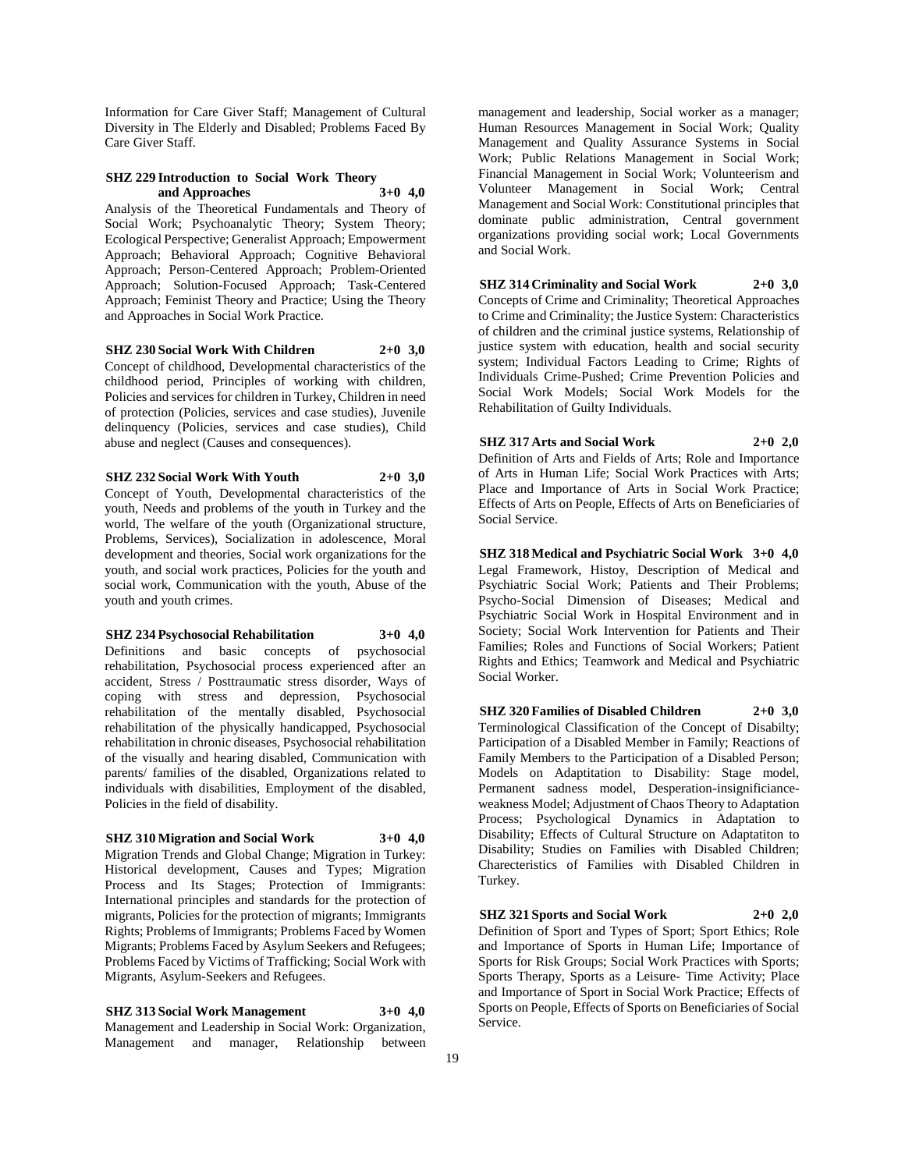Information for Care Giver Staff; Management of Cultural Diversity in The Elderly and Disabled; Problems Faced By Care Giver Staff.

#### **SHZ 229 Introduction to Social Work Theory and Approaches 3+0 4,0**

Analysis of the Theoretical Fundamentals and Theory of Social Work; Psychoanalytic Theory; System Theory; Ecological Perspective; Generalist Approach; Empowerment Approach; Behavioral Approach; Cognitive Behavioral Approach; Person-Centered Approach; Problem-Oriented Approach; Solution-Focused Approach; Task-Centered Approach; Feminist Theory and Practice; Using the Theory and Approaches in Social Work Practice.

#### **SHZ 230 Social Work With Children 2+0 3,0**

Concept of childhood, Developmental characteristics of the childhood period, Principles of working with children, Policies and services for children in Turkey, Children in need of protection (Policies, services and case studies), Juvenile delinquency (Policies, services and case studies), Child abuse and neglect (Causes and consequences).

#### **SHZ 232 Social Work With Youth 2+0 3,0**

Concept of Youth, Developmental characteristics of the youth, Needs and problems of the youth in Turkey and the world, The welfare of the youth (Organizational structure, Problems, Services), Socialization in adolescence, Moral development and theories, Social work organizations for the youth, and social work practices, Policies for the youth and social work, Communication with the youth, Abuse of the youth and youth crimes.

**SHZ 234 Psychosocial Rehabilitation 3+0 4,0** Definitions and basic concepts of psychosocial rehabilitation, Psychosocial process experienced after an accident, Stress / Posttraumatic stress disorder, Ways of coping with stress and depression, Psychosocial rehabilitation of the mentally disabled, Psychosocial rehabilitation of the physically handicapped, Psychosocial rehabilitation in chronic diseases, Psychosocial rehabilitation of the visually and hearing disabled, Communication with parents/ families of the disabled, Organizations related to individuals with disabilities, Employment of the disabled, Policies in the field of disability.

#### **SHZ 310 Migration and Social Work 3+0 4,0**

Migration Trends and Global Change; Migration in Turkey: Historical development, Causes and Types; Migration Process and Its Stages; Protection of Immigrants: International principles and standards for the protection of migrants, Policies for the protection of migrants; Immigrants Rights; Problems of Immigrants; Problems Faced by Women Migrants; Problems Faced by Asylum Seekers and Refugees; Problems Faced by Victims of Trafficking; Social Work with Migrants, Asylum-Seekers and Refugees.

**SHZ 313 Social Work Management 3+0 4,0** Management and Leadership in Social Work: Organization, Management and manager, Relationship between

management and leadership, Social worker as a manager; Human Resources Management in Social Work; Quality Management and Quality Assurance Systems in Social Work; Public Relations Management in Social Work; Financial Management in Social Work; Volunteerism and Volunteer Management in Social Work; Central Management and Social Work: Constitutional principles that dominate public administration, Central government organizations providing social work; Local Governments and Social Work.

**SHZ 314 Criminality and Social Work 2+0 3,0** Concepts of Crime and Criminality; Theoretical Approaches to Crime and Criminality; the Justice System: Characteristics of children and the criminal justice systems, Relationship of justice system with education, health and social security system; Individual Factors Leading to Crime; Rights of Individuals Crime-Pushed; Crime Prevention Policies and Social Work Models; Social Work Models for the Rehabilitation of Guilty Individuals.

**SHZ 317 Arts and Social Work 2+0 2,0** Definition of Arts and Fields of Arts; Role and Importance

of Arts in Human Life; Social Work Practices with Arts; Place and Importance of Arts in Social Work Practice; Effects of Arts on People, Effects of Arts on Beneficiaries of Social Service.

**SHZ 318 Medical and Psychiatric Social Work 3+0 4,0** Legal Framework, Histoy, Description of Medical and Psychiatric Social Work; Patients and Their Problems; Psycho-Social Dimension of Diseases; Medical and Psychiatric Social Work in Hospital Environment and in Society; Social Work Intervention for Patients and Their Families; Roles and Functions of Social Workers; Patient Rights and Ethics; Teamwork and Medical and Psychiatric Social Worker.

**SHZ 320 Families of Disabled Children 2+0 3,0** Terminological Classification of the Concept of Disabilty; Participation of a Disabled Member in Family; Reactions of Family Members to the Participation of a Disabled Person; Models on Adaptitation to Disability: Stage model, Permanent sadness model, Desperation-insignificianceweakness Model; Adjustment of Chaos Theory to Adaptation Process; Psychological Dynamics in Adaptation to Disability; Effects of Cultural Structure on Adaptatiton to Disability; Studies on Families with Disabled Children; Charecteristics of Families with Disabled Children in Turkey.

**SHZ 321 Sports and Social Work 2+0 2,0** Definition of Sport and Types of Sport; Sport Ethics; Role and Importance of Sports in Human Life; Importance of Sports for Risk Groups; Social Work Practices with Sports; Sports Therapy, Sports as a Leisure- Time Activity; Place and Importance of Sport in Social Work Practice; Effects of Sports on People, Effects of Sports on Beneficiaries of Social Service.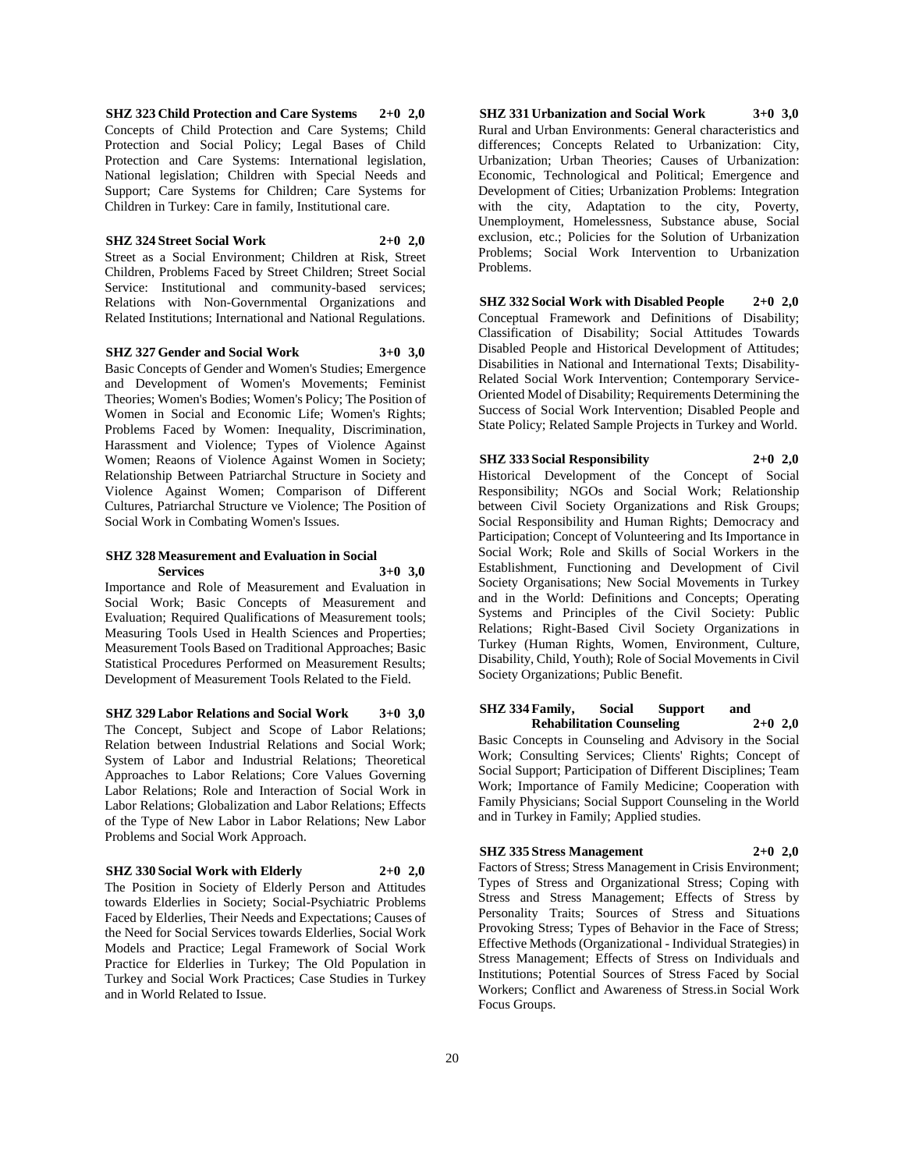**SHZ 323 Child Protection and Care Systems 2+0 2,0** Concepts of Child Protection and Care Systems; Child Protection and Social Policy; Legal Bases of Child Protection and Care Systems: International legislation, National legislation; Children with Special Needs and Support; Care Systems for Children; Care Systems for Children in Turkey: Care in family, Institutional care.

#### **SHZ 324 Street Social Work 2+0 2,0**

Street as a Social Environment; Children at Risk, Street Children, Problems Faced by Street Children; Street Social Service: Institutional and community-based services; Relations with Non-Governmental Organizations and Related Institutions; International and National Regulations.

**SHZ 327 Gender and Social Work 3+0 3,0**

Basic Concepts of Gender and Women's Studies; Emergence and Development of Women's Movements; Feminist Theories; Women's Bodies; Women's Policy; The Position of Women in Social and Economic Life; Women's Rights; Problems Faced by Women: Inequality, Discrimination, Harassment and Violence; Types of Violence Against Women; Reaons of Violence Against Women in Society; Relationship Between Patriarchal Structure in Society and Violence Against Women; Comparison of Different Cultures, Patriarchal Structure ve Violence; The Position of Social Work in Combating Women's Issues.

#### **SHZ 328 Measurement and Evaluation in Social Services 3+0 3,0**

Importance and Role of Measurement and Evaluation in Social Work; Basic Concepts of Measurement and Evaluation; Required Qualifications of Measurement tools; Measuring Tools Used in Health Sciences and Properties; Measurement Tools Based on Traditional Approaches; Basic Statistical Procedures Performed on Measurement Results; Development of Measurement Tools Related to the Field.

**SHZ 329 Labor Relations and Social Work 3+0 3,0** The Concept, Subject and Scope of Labor Relations; Relation between Industrial Relations and Social Work; System of Labor and Industrial Relations; Theoretical Approaches to Labor Relations; Core Values Governing Labor Relations; Role and Interaction of Social Work in Labor Relations; Globalization and Labor Relations; Effects of the Type of New Labor in Labor Relations; New Labor Problems and Social Work Approach.

#### **SHZ 330 Social Work with Elderly 2+0 2,0**

The Position in Society of Elderly Person and Attitudes towards Elderlies in Society; Social-Psychiatric Problems Faced by Elderlies, Their Needs and Expectations; Causes of the Need for Social Services towards Elderlies, Social Work Models and Practice; Legal Framework of Social Work Practice for Elderlies in Turkey; The Old Population in Turkey and Social Work Practices; Case Studies in Turkey and in World Related to Issue.

**SHZ 331 Urbanization and Social Work 3+0 3,0** Rural and Urban Environments: General characteristics and differences; Concepts Related to Urbanization: City, Urbanization; Urban Theories; Causes of Urbanization: Economic, Technological and Political; Emergence and Development of Cities; Urbanization Problems: Integration with the city, Adaptation to the city, Poverty, Unemployment, Homelessness, Substance abuse, Social exclusion, etc.; Policies for the Solution of Urbanization Problems; Social Work Intervention to Urbanization Problems.

**SHZ 332 Social Work with Disabled People 2+0 2,0** Conceptual Framework and Definitions of Disability; Classification of Disability; Social Attitudes Towards Disabled People and Historical Development of Attitudes; Disabilities in National and International Texts; Disability-Related Social Work Intervention; Contemporary Service-Oriented Model of Disability; Requirements Determining the Success of Social Work Intervention; Disabled People and State Policy; Related Sample Projects in Turkey and World.

**SHZ 333 Social Responsibility 2+0 2,0** Historical Development of the Concept of Social Responsibility; NGOs and Social Work; Relationship between Civil Society Organizations and Risk Groups; Social Responsibility and Human Rights; Democracy and Participation; Concept of Volunteering and Its Importance in Social Work; Role and Skills of Social Workers in the Establishment, Functioning and Development of Civil Society Organisations; New Social Movements in Turkey and in the World: Definitions and Concepts; Operating Systems and Principles of the Civil Society: Public Relations; Right-Based Civil Society Organizations in Turkey (Human Rights, Women, Environment, Culture, Disability, Child, Youth); Role of Social Movements in Civil Society Organizations; Public Benefit.

**SHZ 334 Family, Social Support and Rehabilitation Counseling 2+0 2,0**

Basic Concepts in Counseling and Advisory in the Social Work; Consulting Services; Clients' Rights; Concept of Social Support; Participation of Different Disciplines; Team Work; Importance of Family Medicine; Cooperation with Family Physicians; Social Support Counseling in the World and in Turkey in Family; Applied studies.

#### **SHZ 335 Stress Management 2+0 2,0**

Factors of Stress; Stress Management in Crisis Environment; Types of Stress and Organizational Stress; Coping with Stress and Stress Management; Effects of Stress by Personality Traits; Sources of Stress and Situations Provoking Stress; Types of Behavior in the Face of Stress; Effective Methods (Organizational - Individual Strategies) in Stress Management; Effects of Stress on Individuals and Institutions; Potential Sources of Stress Faced by Social

Workers; Conflict and Awareness of Stress.in Social Work

Focus Groups.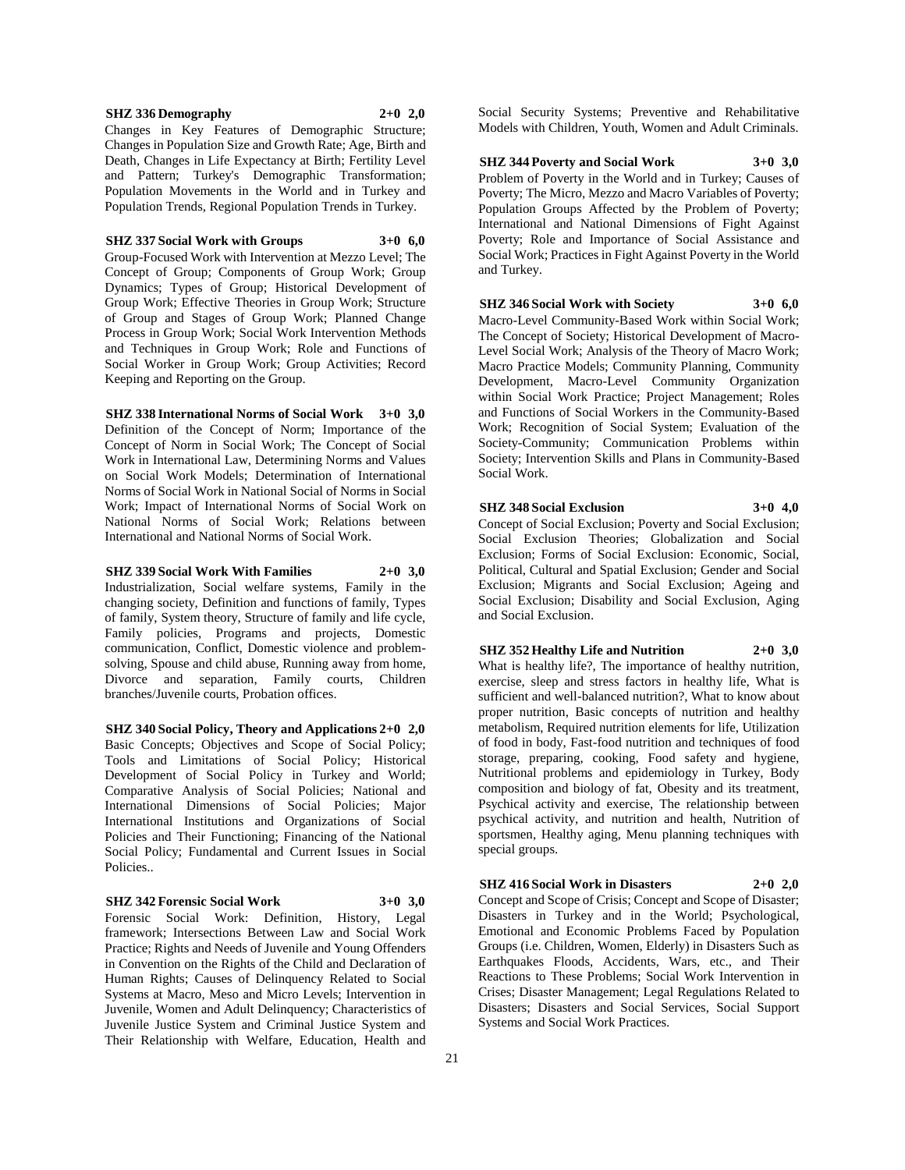#### **SHZ 336 Demography 2+0 2,0**

Changes in Key Features of Demographic Structure; Changes in Population Size and Growth Rate; Age, Birth and Death, Changes in Life Expectancy at Birth; Fertility Level and Pattern; Turkey's Demographic Transformation; Population Movements in the World and in Turkey and Population Trends, Regional Population Trends in Turkey.

#### **SHZ 337 Social Work with Groups 3+0 6,0**

Group-Focused Work with Intervention at Mezzo Level; The Concept of Group; Components of Group Work; Group Dynamics; Types of Group; Historical Development of Group Work; Effective Theories in Group Work; Structure of Group and Stages of Group Work; Planned Change Process in Group Work; Social Work Intervention Methods and Techniques in Group Work; Role and Functions of Social Worker in Group Work; Group Activities; Record Keeping and Reporting on the Group.

**SHZ 338 International Norms of Social Work 3+0 3,0** Definition of the Concept of Norm; Importance of the Concept of Norm in Social Work; The Concept of Social Work in International Law, Determining Norms and Values on Social Work Models; Determination of International Norms of Social Work in National Social of Norms in Social

Work; Impact of International Norms of Social Work on National Norms of Social Work; Relations between International and National Norms of Social Work.

#### **SHZ 339 Social Work With Families 2+0 3,0**

Industrialization, Social welfare systems, Family in the changing society, Definition and functions of family, Types of family, System theory, Structure of family and life cycle, Family policies, Programs and projects, Domestic communication, Conflict, Domestic violence and problemsolving, Spouse and child abuse, Running away from home, Divorce and separation, Family courts, Children branches/Juvenile courts, Probation offices.

**SHZ 340 Social Policy, Theory and Applications 2+0 2,0** Basic Concepts; Objectives and Scope of Social Policy; Tools and Limitations of Social Policy; Historical Development of Social Policy in Turkey and World; Comparative Analysis of Social Policies; National and International Dimensions of Social Policies; Major International Institutions and Organizations of Social Policies and Their Functioning; Financing of the National Social Policy; Fundamental and Current Issues in Social Policies..

**SHZ 342 Forensic Social Work 3+0 3,0**

Forensic Social Work: Definition, History, Legal framework; Intersections Between Law and Social Work Practice; Rights and Needs of Juvenile and Young Offenders in Convention on the Rights of the Child and Declaration of Human Rights; Causes of Delinquency Related to Social Systems at Macro, Meso and Micro Levels; Intervention in Juvenile, Women and Adult Delinquency; Characteristics of Juvenile Justice System and Criminal Justice System and Their Relationship with Welfare, Education, Health and

Social Security Systems; Preventive and Rehabilitative Models with Children, Youth, Women and Adult Criminals.

#### **SHZ 344 Poverty and Social Work 3+0 3,0**

Problem of Poverty in the World and in Turkey; Causes of Poverty; The Micro, Mezzo and Macro Variables of Poverty; Population Groups Affected by the Problem of Poverty; International and National Dimensions of Fight Against Poverty; Role and Importance of Social Assistance and Social Work; Practices in Fight Against Poverty in the World and Turkey.

**SHZ 346 Social Work with Society 3+0 6,0** Macro-Level Community-Based Work within Social Work; The Concept of Society; Historical Development of Macro-Level Social Work; Analysis of the Theory of Macro Work; Macro Practice Models; Community Planning, Community Development, Macro-Level Community Organization within Social Work Practice; Project Management; Roles and Functions of Social Workers in the Community-Based Work; Recognition of Social System; Evaluation of the Society-Community; Communication Problems within Society; Intervention Skills and Plans in Community-Based Social Work.

#### **SHZ 348 Social Exclusion 3+0 4,0**

Concept of Social Exclusion; Poverty and Social Exclusion; Social Exclusion Theories; Globalization and Social Exclusion; Forms of Social Exclusion: Economic, Social, Political, Cultural and Spatial Exclusion; Gender and Social Exclusion; Migrants and Social Exclusion; Ageing and Social Exclusion; Disability and Social Exclusion, Aging and Social Exclusion.

## **SHZ 352 Healthy Life and Nutrition 2+0 3,0**

What is healthy life?, The importance of healthy nutrition, exercise, sleep and stress factors in healthy life, What is sufficient and well-balanced nutrition?, What to know about proper nutrition, Basic concepts of nutrition and healthy metabolism, Required nutrition elements for life, Utilization of food in body, Fast-food nutrition and techniques of food storage, preparing, cooking, Food safety and hygiene, Nutritional problems and epidemiology in Turkey, Body composition and biology of fat, Obesity and its treatment, Psychical activity and exercise, The relationship between psychical activity, and nutrition and health, Nutrition of sportsmen, Healthy aging, Menu planning techniques with special groups.

**SHZ 416 Social Work in Disasters 2+0 2,0** Concept and Scope of Crisis; Concept and Scope of Disaster; Disasters in Turkey and in the World; Psychological, Emotional and Economic Problems Faced by Population Groups (i.e. Children, Women, Elderly) in Disasters Such as Earthquakes Floods, Accidents, Wars, etc., and Their Reactions to These Problems; Social Work Intervention in Crises; Disaster Management; Legal Regulations Related to Disasters; Disasters and Social Services, Social Support Systems and Social Work Practices.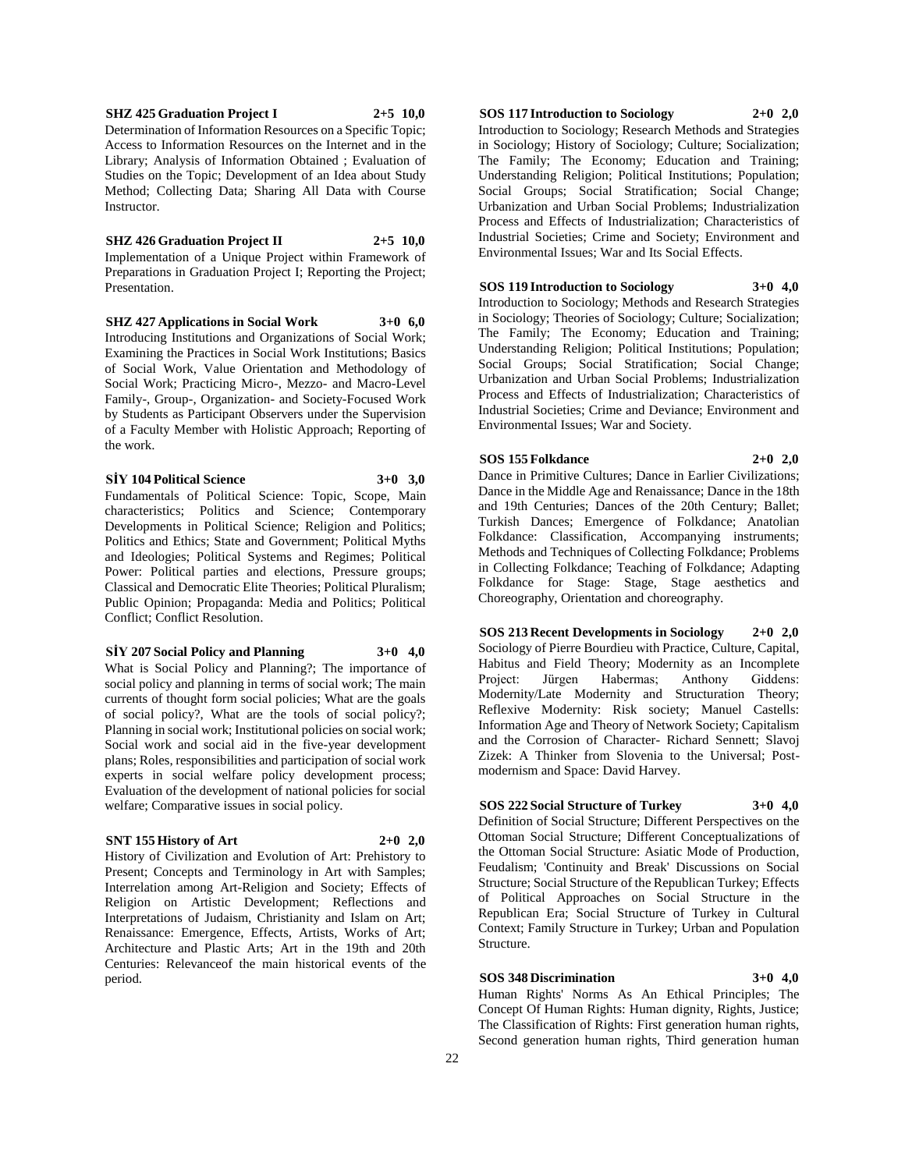#### **SHZ 425 Graduation Project I 2+5 10,0** Determination of Information Resources on a Specific Topic; Access to Information Resources on the Internet and in the Library; Analysis of Information Obtained ; Evaluation of Studies on the Topic; Development of an Idea about Study Method; Collecting Data; Sharing All Data with Course Instructor.

### **SHZ 426 Graduation Project II 2+5 10,0**

Implementation of a Unique Project within Framework of Preparations in Graduation Project I; Reporting the Project; Presentation.

**SHZ 427 Applications in Social Work 3+0 6,0**

Introducing Institutions and Organizations of Social Work; Examining the Practices in Social Work Institutions; Basics of Social Work, Value Orientation and Methodology of Social Work; Practicing Micro-, Mezzo- and Macro-Level Family-, Group-, Organization- and Society-Focused Work by Students as Participant Observers under the Supervision of a Faculty Member with Holistic Approach; Reporting of the work.

**SİY 104 Political Science 3+0 3,0**

Fundamentals of Political Science: Topic, Scope, Main characteristics; Politics and Science; Contemporary Developments in Political Science; Religion and Politics; Politics and Ethics; State and Government; Political Myths and Ideologies; Political Systems and Regimes; Political Power: Political parties and elections, Pressure groups; Classical and Democratic Elite Theories; Political Pluralism; Public Opinion; Propaganda: Media and Politics; Political Conflict; Conflict Resolution.

**SİY 207 Social Policy and Planning 3+0 4,0**

What is Social Policy and Planning?; The importance of social policy and planning in terms of social work; The main currents of thought form social policies; What are the goals of social policy?, What are the tools of social policy?; Planning in social work; Institutional policies on social work; Social work and social aid in the five-year development plans; Roles, responsibilities and participation of social work experts in social welfare policy development process; Evaluation of the development of national policies for social welfare; Comparative issues in social policy.

#### **SNT 155 History of Art 2+0 2,0**

History of Civilization and Evolution of Art: Prehistory to Present; Concepts and Terminology in Art with Samples; Interrelation among Art-Religion and Society; Effects of Religion on Artistic Development; Reflections and Interpretations of Judaism, Christianity and Islam on Art; Renaissance: Emergence, Effects, Artists, Works of Art; Architecture and Plastic Arts; Art in the 19th and 20th Centuries: Relevanceof the main historical events of the period.

## **SOS 117 Introduction to Sociology 2+0 2,0**

Introduction to Sociology; Research Methods and Strategies in Sociology; History of Sociology; Culture; Socialization; The Family; The Economy; Education and Training; Understanding Religion; Political Institutions; Population; Social Groups; Social Stratification; Social Change; Urbanization and Urban Social Problems; Industrialization Process and Effects of Industrialization; Characteristics of Industrial Societies; Crime and Society; Environment and Environmental Issues; War and Its Social Effects.

**SOS 119 Introduction to Sociology 3+0 4,0**

Introduction to Sociology; Methods and Research Strategies in Sociology; Theories of Sociology; Culture; Socialization; The Family; The Economy; Education and Training; Understanding Religion; Political Institutions; Population; Social Groups; Social Stratification; Social Change; Urbanization and Urban Social Problems; Industrialization Process and Effects of Industrialization; Characteristics of Industrial Societies; Crime and Deviance; Environment and Environmental Issues; War and Society.

**SOS 155 Folkdance 2+0 2,0** Dance in Primitive Cultures; Dance in Earlier Civilizations; Dance in the Middle Age and Renaissance; Dance in the 18th and 19th Centuries; Dances of the 20th Century; Ballet; Turkish Dances; Emergence of Folkdance; Anatolian Folkdance: Classification, Accompanying instruments; Methods and Techniques of Collecting Folkdance; Problems in Collecting Folkdance; Teaching of Folkdance; Adapting Folkdance for Stage: Stage, Stage aesthetics and Choreography, Orientation and choreography.

**SOS 213 Recent Developments in Sociology 2+0 2,0** Sociology of Pierre Bourdieu with Practice, Culture, Capital, Habitus and Field Theory; Modernity as an Incomplete Project: Jürgen Habermas; Anthony Giddens: Modernity/Late Modernity and Structuration Theory; Reflexive Modernity: Risk society; Manuel Castells: Information Age and Theory of Network Society; Capitalism and the Corrosion of Character- Richard Sennett; Slavoj Zizek: A Thinker from Slovenia to the Universal; Postmodernism and Space: David Harvey.

## **SOS 222 Social Structure of Turkey 3+0 4,0**

Definition of Social Structure; Different Perspectives on the Ottoman Social Structure; Different Conceptualizations of the Ottoman Social Structure: Asiatic Mode of Production, Feudalism; 'Continuity and Break' Discussions on Social Structure; Social Structure of the Republican Turkey; Effects of Political Approaches on Social Structure in the Republican Era; Social Structure of Turkey in Cultural Context; Family Structure in Turkey; Urban and Population Structure.

#### **SOS 348 Discrimination 3+0 4,0**

Human Rights' Norms As An Ethical Principles; The Concept Of Human Rights: Human dignity, Rights, Justice; The Classification of Rights: First generation human rights, Second generation human rights, Third generation human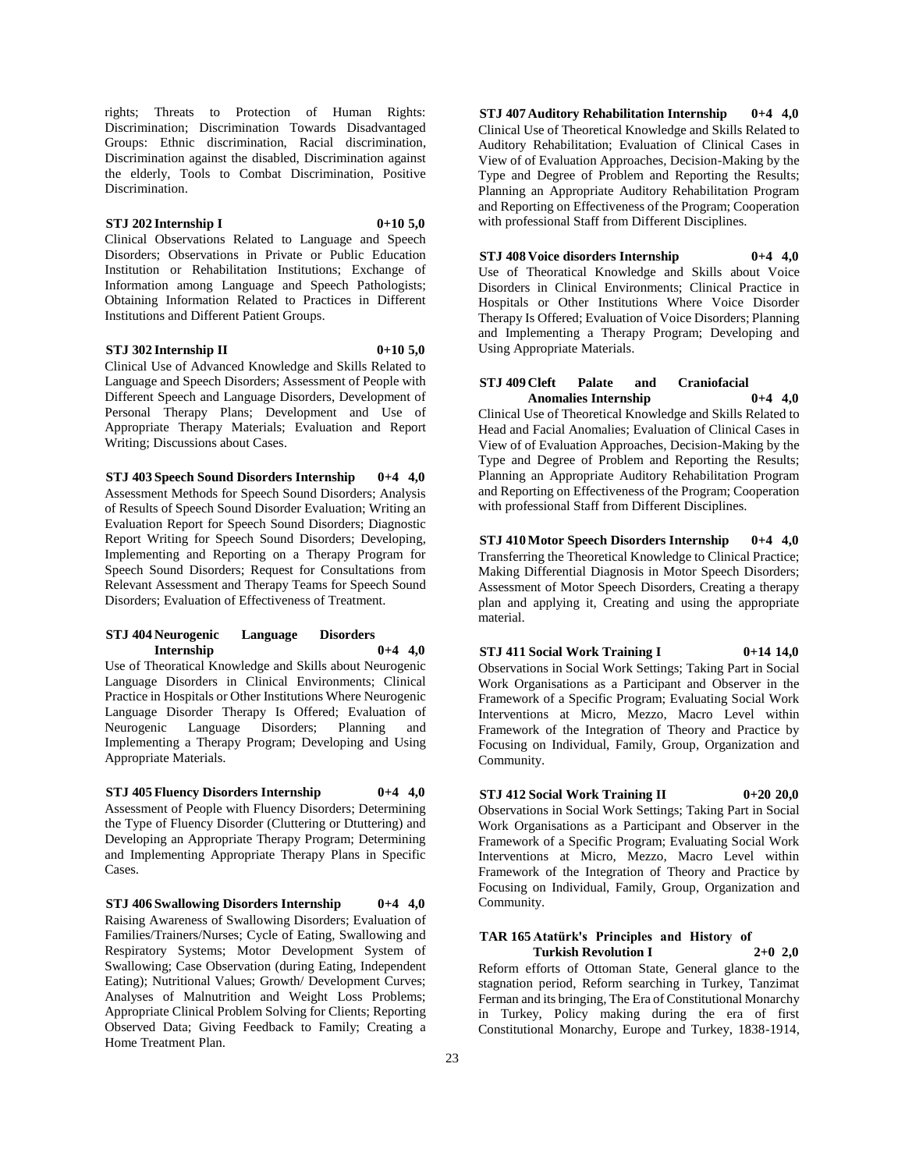rights; Threats to Protection of Human Rights: Discrimination; Discrimination Towards Disadvantaged Groups: Ethnic discrimination, Racial discrimination, Discrimination against the disabled, Discrimination against the elderly, Tools to Combat Discrimination, Positive Discrimination.

#### **STJ 202 Internship I 0+10 5,0**

Clinical Observations Related to Language and Speech Disorders; Observations in Private or Public Education Institution or Rehabilitation Institutions; Exchange of Information among Language and Speech Pathologists; Obtaining Information Related to Practices in Different Institutions and Different Patient Groups.

#### **STJ 302 Internship II 0+10 5,0**

Clinical Use of Advanced Knowledge and Skills Related to Language and Speech Disorders; Assessment of People with Different Speech and Language Disorders, Development of Personal Therapy Plans; Development and Use of Appropriate Therapy Materials; Evaluation and Report Writing; Discussions about Cases.

**STJ 403 Speech Sound Disorders Internship 0+4 4,0** Assessment Methods for Speech Sound Disorders; Analysis of Results of Speech Sound Disorder Evaluation; Writing an Evaluation Report for Speech Sound Disorders; Diagnostic Report Writing for Speech Sound Disorders; Developing, Implementing and Reporting on a Therapy Program for Speech Sound Disorders; Request for Consultations from Relevant Assessment and Therapy Teams for Speech Sound Disorders; Evaluation of Effectiveness of Treatment.

#### **STJ 404 Neurogenic Language Disorders Internship 0+4 4,0**

Use of Theoratical Knowledge and Skills about Neurogenic Language Disorders in Clinical Environments; Clinical Practice in Hospitals or Other Institutions Where Neurogenic Language Disorder Therapy Is Offered; Evaluation of Neurogenic Language Disorders; Planning and Implementing a Therapy Program; Developing and Using Appropriate Materials.

## **STJ 405 Fluency Disorders Internship 0+4 4,0**

Assessment of People with Fluency Disorders; Determining the Type of Fluency Disorder (Cluttering or Dtuttering) and Developing an Appropriate Therapy Program; Determining and Implementing Appropriate Therapy Plans in Specific Cases.

**STJ 406 Swallowing Disorders Internship 0+4 4,0** Raising Awareness of Swallowing Disorders; Evaluation of Families/Trainers/Nurses; Cycle of Eating, Swallowing and Respiratory Systems; Motor Development System of Swallowing; Case Observation (during Eating, Independent Eating); Nutritional Values; Growth/ Development Curves; Analyses of Malnutrition and Weight Loss Problems; Appropriate Clinical Problem Solving for Clients; Reporting Observed Data; Giving Feedback to Family; Creating a Home Treatment Plan.

**STJ 407 Auditory Rehabilitation Internship 0+4 4,0** Clinical Use of Theoretical Knowledge and Skills Related to Auditory Rehabilitation; Evaluation of Clinical Cases in View of of Evaluation Approaches, Decision-Making by the Type and Degree of Problem and Reporting the Results; Planning an Appropriate Auditory Rehabilitation Program and Reporting on Effectiveness of the Program; Cooperation with professional Staff from Different Disciplines.

#### **STJ 408 Voice disorders Internship 0+4 4,0**

Use of Theoratical Knowledge and Skills about Voice Disorders in Clinical Environments; Clinical Practice in Hospitals or Other Institutions Where Voice Disorder Therapy Is Offered; Evaluation of Voice Disorders; Planning and Implementing a Therapy Program; Developing and Using Appropriate Materials.

#### **STJ 409 Cleft Palate and Craniofacial Anomalies Internship 0+4 4,0**

Clinical Use of Theoretical Knowledge and Skills Related to Head and Facial Anomalies; Evaluation of Clinical Cases in View of of Evaluation Approaches, Decision-Making by the Type and Degree of Problem and Reporting the Results; Planning an Appropriate Auditory Rehabilitation Program and Reporting on Effectiveness of the Program; Cooperation with professional Staff from Different Disciplines.

**STJ 410 Motor Speech Disorders Internship 0+4 4,0** Transferring the Theoretical Knowledge to Clinical Practice; Making Differential Diagnosis in Motor Speech Disorders; Assessment of Motor Speech Disorders, Creating a therapy plan and applying it, Creating and using the appropriate material.

#### **STJ 411 Social Work Training I 0+14 14,0**

Observations in Social Work Settings; Taking Part in Social Work Organisations as a Participant and Observer in the Framework of a Specific Program; Evaluating Social Work Interventions at Micro, Mezzo, Macro Level within Framework of the Integration of Theory and Practice by Focusing on Individual, Family, Group, Organization and Community.

## **STJ 412 Social Work Training II 0+20 20,0**

Observations in Social Work Settings; Taking Part in Social Work Organisations as a Participant and Observer in the Framework of a Specific Program; Evaluating Social Work Interventions at Micro, Mezzo, Macro Level within Framework of the Integration of Theory and Practice by Focusing on Individual, Family, Group, Organization and Community.

#### **TAR 165 Atatürk's Principles and History of Turkish Revolution I 2+0 2,0**

Reform efforts of Ottoman State, General glance to the stagnation period, Reform searching in Turkey, Tanzimat Ferman and its bringing, The Era of Constitutional Monarchy in Turkey, Policy making during the era of first Constitutional Monarchy, Europe and Turkey, 1838-1914,